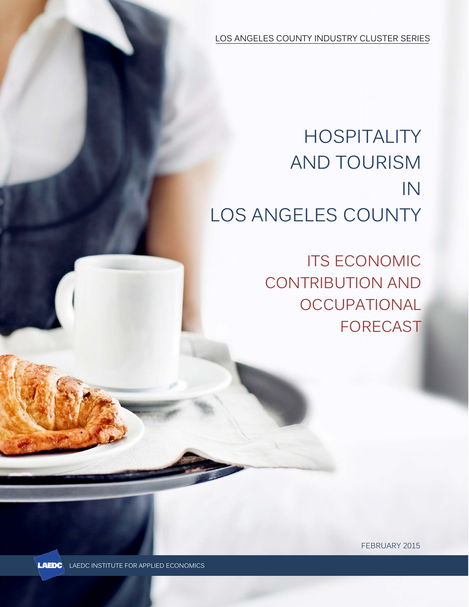LOS ANGELES COUNTY INDUSTRY CLUSTER SERIES

# **HOSPITALITY** AND TOURISM IN LOS ANGELES COUNTY

ITS ECONOMIC CONTRIBUTION AND **OCCUPATIONAL** FORECAST

FEBRUARY 2015



LAEDC LAEDC INSTITUTE FOR APPLIED ECONOMICS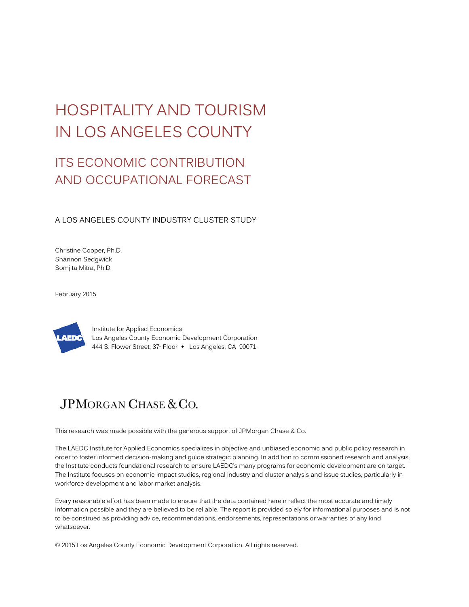# HOSPITALITY AND TOURISM IN LOS ANGELES COUNTY

## ITS ECONOMIC CONTRIBUTION AND OCCUPATIONAL FORECAST

A LOS ANGELES COUNTY INDUSTRY CLUSTER STUDY

Christine Cooper, Ph.D. Shannon Sedgwick Somjita Mitra, Ph.D.

February 2015



Institute for Applied Economics Los Angeles County Economic Development Corporation 444 S. Flower Street, 37<sup>th</sup> Floor  $\cdot$  Los Angeles, CA 90071

## JPMORGAN CHASE & CO.

This research was made possible with the generous support of JPMorgan Chase & Co.

The LAEDC Institute for Applied Economics specializes in objective and unbiased economic and public policy research in order to foster informed decision-making and guide strategic planning. In addition to commissioned research and analysis, the Institute conducts foundational research to ensure LAEDC's many programs for economic development are on target. The Institute focuses on economic impact studies, regional industry and cluster analysis and issue studies, particularly in workforce development and labor market analysis.

Every reasonable effort has been made to ensure that the data contained herein reflect the most accurate and timely information possible and they are believed to be reliable. The report is provided solely for informational purposes and is not to be construed as providing advice, recommendations, endorsements, representations or warranties of any kind whatsoever.

© 2015 Los Angeles County Economic Development Corporation. All rights reserved.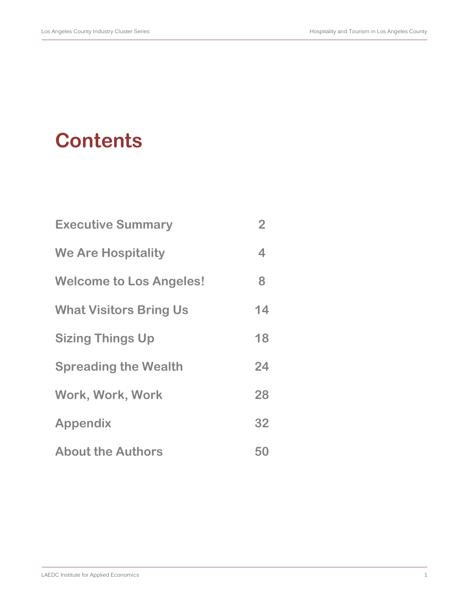# **Contents**

| <b>Executive Summary</b>       | $\overline{2}$ |
|--------------------------------|----------------|
| <b>We Are Hospitality</b>      | 4              |
| <b>Welcome to Los Angeles!</b> | 8              |
| <b>What Visitors Bring Us</b>  | 14             |
| <b>Sizing Things Up</b>        | 18             |
| <b>Spreading the Wealth</b>    | 24             |
| Work, Work, Work               | 28             |
| <b>Appendix</b>                | 32             |
| <b>About the Authors</b>       | 50             |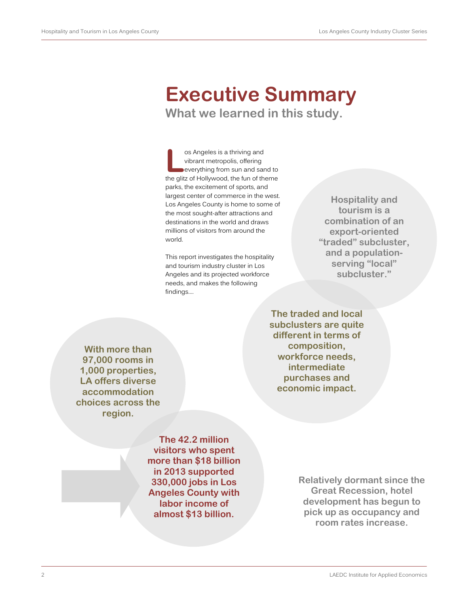# **Executive Summary**

**What we learned in this study.**

os Angeles is a thriving and vibrant metropolis, offering everything from sun and sand to **Solution** is a thriving and<br>
vibrant metropolis, offering<br>
everything from sun and sand to<br>
the glitz of Hollywood, the fun of theme parks, the excitement of sports, and largest center of commerce in the west. Los Angeles County is home to some of the most sought-after attractions and destinations in the world and draws millions of visitors from around the world.

This report investigates the hospitality and tourism industry cluster in Los Angeles and its projected workforce needs, and makes the following findings….

**Hospitality and tourism is a combination of an export-oriented "traded" subcluster, and a populationserving "local" subcluster."**

**The traded and local subclusters are quite different in terms of composition, workforce needs, intermediate purchases and economic impact.**

**With more than 97,000 rooms in 1,000 properties, LA offers diverse accommodation choices across the region.**

> **The 42.2 million visitors who spent more than \$18 billion in 2013 supported 330,000 jobs in Los Angeles County with labor income of almost \$13 billion.**

**Relatively dormant since the Great Recession, hotel development has begun to pick up as occupancy and room rates increase.**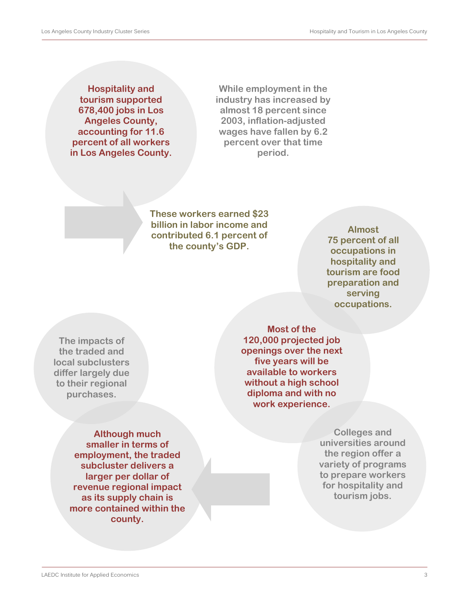**Hospitality and tourism supported 678,400 jobs in Los Angeles County, accounting for 11.6 percent of all workers in Los Angeles County.**

**While employment in the industry has increased by almost 18 percent since 2003, inflation-adjusted wages have fallen by 6.2 percent over that time period.**

**These workers earned \$23 billion in labor income and contributed 6.1 percent of the county's GDP.**

**Almost 75 percent of all occupations in hospitality and tourism are food preparation and serving occupations.**

**The impacts of the traded and local subclusters differ largely due to their regional purchases.**

> **Although much smaller in terms of employment, the traded subcluster delivers a larger per dollar of revenue regional impact as its supply chain is more contained within the county.**

**Most of the 120,000 projected job openings over the next five years will be available to workers without a high school diploma and with no work experience.** 

> **Colleges and universities around the region offer a variety of programs to prepare workers for hospitality and tourism jobs.**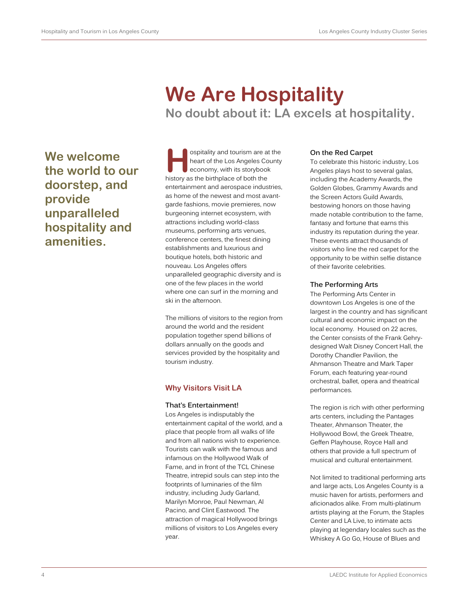**We welcome**  the world to our **doorstep, and provide unparalleled hospitality and amenities.** 

# **We Are Hospitality**

**No doubt about it: LA excels at hospitality.**

ospitality and tourism are at the heart of the Los Angeles County economy, with its storybook history as the birthplace of both the entertainment and aerospace industries, as home of the newest and most avantgarde fashions, movie premieres, now burgeoning internet ecosystem, with attractions including world-class museums, performing arts venues, conference centers, the finest dining establishments and luxurious and boutique hotels, both historic and nouveau. Los Angeles offers unparalleled geographic diversity and is one of the few places in the world where one can surf in the morning and ski in the afternoon.

The millions of visitors to the region from around the world and the resident population together spend billions of dollars annually on the goods and services provided by the hospitality and tourism industry.

## **Why Visitors Visit LA**

## **That's Entertainment!**

Los Angeles is indisputably the entertainment capital of the world, and a place that people from all walks of life and from all nations wish to experience. Tourists can walk with the famous and infamous on the Hollywood Walk of Fame, and in front of the TCL Chinese Theatre, intrepid souls can step into the footprints of luminaries of the film industry, including Judy Garland, Marilyn Monroe, Paul Newman, Al Pacino, and Clint Eastwood. The attraction of magical Hollywood brings millions of visitors to Los Angeles every year.

## **On the Red Carpet**

To celebrate this historic industry, Los Angeles plays host to several galas, including the Academy Awards, the Golden Globes, Grammy Awards and the Screen Actors Guild Awards, bestowing honors on those having made notable contribution to the fame, fantasy and fortune that earns this industry its reputation during the year. These events attract thousands of visitors who line the red carpet for the opportunity to be within selfie distance of their favorite celebrities.

## **The Performing Arts**

The Performing Arts Center in downtown Los Angeles is one of the largest in the country and has significant cultural and economic impact on the local economy. Housed on 22 acres, the Center consists of the Frank Gehrydesigned Walt Disney Concert Hall, the Dorothy Chandler Pavilion, the Ahmanson Theatre and Mark Taper Forum, each featuring year-round orchestral, ballet, opera and theatrical performances.

The region is rich with other performing arts centers, including the Pantages Theater, Ahmanson Theater, the Hollywood Bowl, the Greek Theatre, Geffen Playhouse, Royce Hall and others that provide a full spectrum of musical and cultural entertainment.

Not limited to traditional performing arts and large acts, Los Angeles County is a music haven for artists, performers and aficionados alike. From multi-platinum artists playing at the Forum, the Staples Center and LA Live, to intimate acts playing at legendary locales such as the Whiskey A Go Go, House of Blues and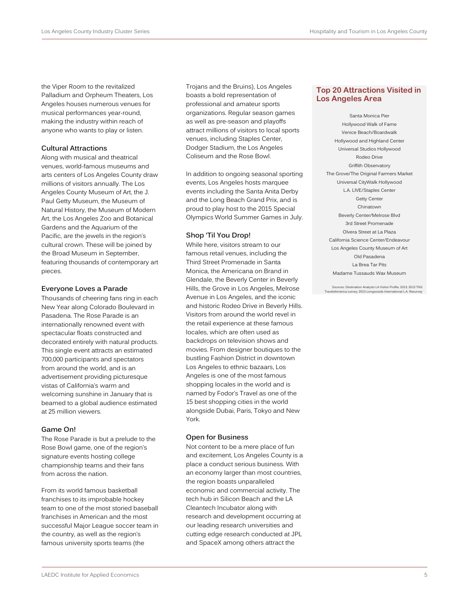the Viper Room to the revitalized Palladium and Orpheum Theaters, Los Angeles houses numerous venues for musical performances year-round, making the industry within reach of anyone who wants to play or listen.

### **Cultural Attractions**

Along with musical and theatrical venues, world-famous museums and arts centers of Los Angeles County draw millions of visitors annually. The Los Angeles County Museum of Art, the J. Paul Getty Museum, the Museum of Natural History, the Museum of Modern Art, the Los Angeles Zoo and Botanical Gardens and the Aquarium of the Pacific, are the jewels in the region's cultural crown. These will be joined by the Broad Museum in September, featuring thousands of contemporary art pieces.

#### **Everyone Loves a Parade**

Thousands of cheering fans ring in each New Year along Colorado Boulevard in Pasadena. The Rose Parade is an internationally renowned event with spectacular floats constructed and decorated entirely with natural products. This single event attracts an estimated 700,000 participants and spectators from around the world, and is an advertisement providing picturesque vistas of California's warm and welcoming sunshine in January that is beamed to a global audience estimated at 25 million viewers.

## **Game On!**

The Rose Parade is but a prelude to the Rose Bowl game, one of the region's signature events hosting college championship teams and their fans from across the nation.

From its world famous basketball franchises to its improbable hockey team to one of the most storied baseball franchises in American and the most successful Major League soccer team in the country, as well as the region's famous university sports teams (the

Trojans and the Bruins), Los Angeles boasts a bold representation of professional and amateur sports organizations. Regular season games as well as pre-season and playoffs attract millions of visitors to local sports venues, including Staples Center, Dodger Stadium, the Los Angeles Coliseum and the Rose Bowl.

In addition to ongoing seasonal sporting events, Los Angeles hosts marquee events including the Santa Anita Derby and the Long Beach Grand Prix, and is proud to play host to the 2015 Special Olympics World Summer Games in July.

### **Shop 'Til You Drop!**

While here, visitors stream to our famous retail venues, including the Third Street Promenade in Santa Monica, the Americana on Brand in Glendale, the Beverly Center in Beverly Hills, the Grove in Los Angeles, Melrose Avenue in Los Angeles, and the iconic and historic Rodeo Drive in Beverly Hills. Visitors from around the world revel in the retail experience at these famous locales, which are often used as backdrops on television shows and movies. From designer boutiques to the bustling Fashion District in downtown Los Angeles to ethnic bazaars, Los Angeles is one of the most famous shopping locales in the world and is named by Fodor's Travel as one of the 15 best shopping cities in the world alongside Dubai, Paris, Tokyo and New York.

### **Open for Business**

Not content to be a mere place of fun and excitement, Los Angeles County is a place a conduct serious business. With an economy larger than most countries, the region boasts unparalleled economic and commercial activity. The tech hub in Silicon Beach and the LA Cleantech Incubator along with research and development occurring at our leading research universities and cutting edge research conducted at JPL and SpaceX among others attract the

## **Top 20 Attractions Visited in Los Angeles Area**

Santa Monica Pier Hollywood Walk of Fame Venice Beach/Boardwalk Hollywood and Highland Center Universal Studios Hollywood Rodeo Drive Griffith Observatory The Grove/The Original Farmers Market Universal CityWalk Hollywood L.A. LIVE/Staples Center Getty Center Chinatown Beverly Center/Melrose Blvd 3rd Street Promenade Olvera Street at La Plaza California Science Center/Endeavour Los Angeles County Museum of Art Old Pasadena La Brea Tar Pits Madame Tussauds Wax Museum

Sources: Destination Analysts LA Visitor Profile, 2013; 2013 TNS TravelsAmerica survey; 2013 Longwoods International L.A. Resurvey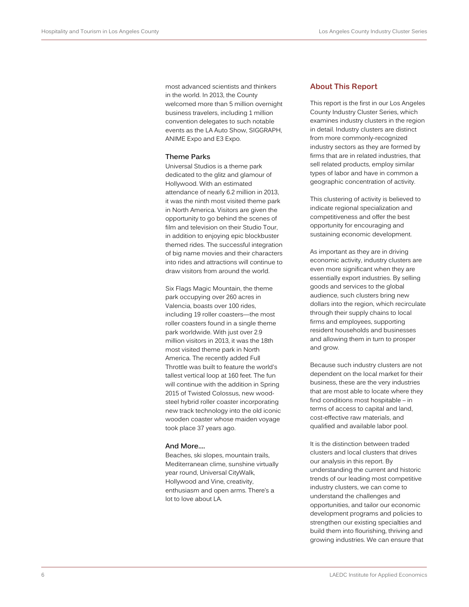most advanced scientists and thinkers in the world. In 2013, the County welcomed more than 5 million overnight business travelers, including 1 million convention delegates to such notable events as the LA Auto Show, SIGGRAPH, ANIME Expo and E3 Expo.

#### **Theme Parks**

Universal Studios is a theme park dedicated to the glitz and glamour of Hollywood. With an estimated attendance of nearly 6.2 million in 2013, it was the ninth most visited theme park in North America. Visitors are given the opportunity to go behind the scenes of film and television on their Studio Tour, in addition to enjoying epic blockbuster themed rides. The successful integration of big name movies and their characters into rides and attractions will continue to draw visitors from around the world.

Six Flags Magic Mountain, the theme park occupying over 260 acres in Valencia, boasts over 100 rides, including 19 roller coasters—the most roller coasters found in a single theme park worldwide. With just over 2.9 million visitors in 2013, it was the 18th most visited theme park in North America. The recently added Full Throttle was built to feature the world's tallest vertical loop at 160 feet. The fun will continue with the addition in Spring 2015 of Twisted Colossus, new woodsteel hybrid roller coaster incorporating new track technology into the old iconic wooden coaster whose maiden voyage took place 37 years ago.

#### **And More….**

Beaches, ski slopes, mountain trails, Mediterranean clime, sunshine virtually year round, Universal CityWalk, Hollywood and Vine, creativity, enthusiasm and open arms. There's a lot to love about LA.

#### **About This Report**

This report is the first in our Los Angeles County Industry Cluster Series, which examines industry clusters in the region in detail. Industry clusters are distinct from more commonly-recognized industry sectors as they are formed by firms that are in related industries, that sell related products, employ similar types of labor and have in common a geographic concentration of activity.

This clustering of activity is believed to indicate regional specialization and competitiveness and offer the best opportunity for encouraging and sustaining economic development.

As important as they are in driving economic activity, industry clusters are even more significant when they are essentially export industries. By selling goods and services to the global audience, such clusters bring new dollars into the region, which recirculate through their supply chains to local firms and employees, supporting resident households and businesses and allowing them in turn to prosper and grow.

Because such industry clusters are not dependent on the local market for their business, these are the very industries that are most able to locate where they find conditions most hospitable – in terms of access to capital and land, cost-effective raw materials, and qualified and available labor pool.

It is the distinction between traded clusters and local clusters that drives our analysis in this report. By understanding the current and historic trends of our leading most competitive industry clusters, we can come to understand the challenges and opportunities, and tailor our economic development programs and policies to strengthen our existing specialties and build them into flourishing, thriving and growing industries. We can ensure that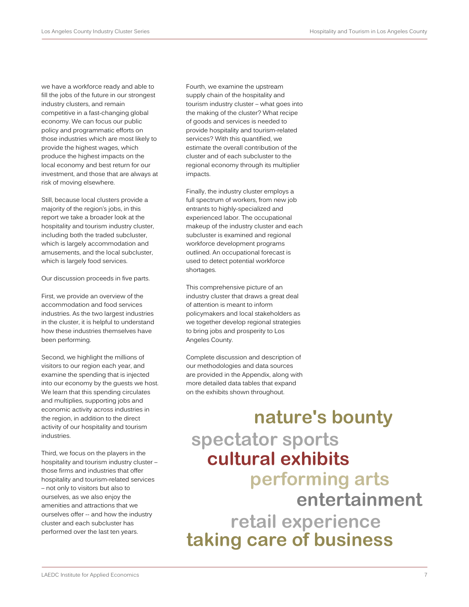we have a workforce ready and able to fill the jobs of the future in our strongest industry clusters, and remain competitive in a fast-changing global economy. We can focus our public policy and programmatic efforts on those industries which are most likely to provide the highest wages, which produce the highest impacts on the local economy and best return for our investment, and those that are always at risk of moving elsewhere.

Still, because local clusters provide a majority of the region's jobs, in this report we take a broader look at the hospitality and tourism industry cluster, including both the traded subcluster, which is largely accommodation and amusements, and the local subcluster, which is largely food services.

Our discussion proceeds in five parts.

First, we provide an overview of the accommodation and food services industries. As the two largest industries in the cluster, it is helpful to understand how these industries themselves have been performing.

Second, we highlight the millions of visitors to our region each year, and examine the spending that is injected into our economy by the guests we host. We learn that this spending circulates and multiplies, supporting jobs and economic activity across industries in the region, in addition to the direct activity of our hospitality and tourism industries.

Third, we focus on the players in the hospitality and tourism industry cluster – those firms and industries that offer hospitality and tourism-related services – not only to visitors but also to ourselves, as we also enjoy the amenities and attractions that we ourselves offer -- and how the industry cluster and each subcluster has performed over the last ten years.

Fourth, we examine the upstream supply chain of the hospitality and tourism industry cluster – what goes into the making of the cluster? What recipe of goods and services is needed to provide hospitality and tourism-related services? With this quantified, we estimate the overall contribution of the cluster and of each subcluster to the regional economy through its multiplier impacts.

Finally, the industry cluster employs a full spectrum of workers, from new job entrants to highly-specialized and experienced labor. The occupational makeup of the industry cluster and each subcluster is examined and regional workforce development programs outlined. An occupational forecast is used to detect potential workforce shortages.

This comprehensive picture of an industry cluster that draws a great deal of attention is meant to inform policymakers and local stakeholders as we together develop regional strategies to bring jobs and prosperity to Los Angeles County.

Complete discussion and description of our methodologies and data sources are provided in the Appendix, along with more detailed data tables that expand on the exhibits shown throughout.

# **spectator sports cultural exhibits performing arts entertainment retail experience nature's bounty taking care of business**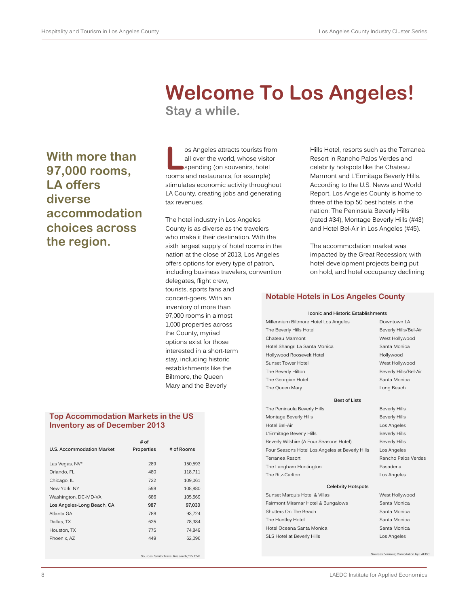## **With more than 97,000 rooms, LA offers diverse accommodation choices across the region.**

## **Welcome To Los Angeles! Stay a while.**

os Angeles attracts tourists from all over the world, whose visitor spending (on souvenirs, hotel **e** os Angeles attracts tourists from all over the world, whose visite<br>spending (on souvenirs, hotel rooms and restaurants, for example) stimulates economic activity throughout LA County, creating jobs and generating tax revenues.

The hotel industry in Los Angeles County is as diverse as the travelers who make it their destination. With the sixth largest supply of hotel rooms in the nation at the close of 2013, Los Angeles offers options for every type of patron, including business travelers, convention delegates, flight crew, tourists, sports fans and concert-goers. With an inventory of more than 97,000 rooms in almost 1,000 properties across the County, myriad options exist for those interested in a short-term stay, including historic establishments like the Biltmore, the Queen Mary and the Beverly

## **Top Accommodation Markets in the US Inventory as of December 2013**

|                            | # of       |                                         |
|----------------------------|------------|-----------------------------------------|
| U.S. Accommodation Market  | Properties | # of Rooms                              |
|                            |            |                                         |
| Las Vegas, NV*             | 289        | 150,593                                 |
| Orlando, FL                | 480        | 118,711                                 |
| Chicago, IL                | 722        | 109,061                                 |
| New York, NY               | 598        | 108,880                                 |
| Washington, DC-MD-VA       | 686        | 105,569                                 |
| Los Angeles-Long Beach, CA | 987        | 97,030                                  |
| Atlanta GA                 | 788        | 93.724                                  |
| Dallas, TX                 | 625        | 78.384                                  |
| Houston, TX                | 775        | 74.849                                  |
| Phoenix, AZ                | 449        | 62.096                                  |
|                            |            |                                         |
|                            |            | Sources: Smith Travel Research: *LV CVB |

Hills Hotel, resorts such as the Terranea Resort in Rancho Palos Verdes and celebrity hotspots like the Chateau Marmont and L'Ermitage Beverly Hills. According to the U.S. News and World Report, Los Angeles County is home to three of the top 50 best hotels in the nation: The Peninsula Beverly Hills (rated #34), Montage Beverly Hills (#43) and Hotel Bel-Air in Los Angeles (#45).

The accommodation market was impacted by the Great Recession; with hotel development projects being put on hold, and hotel occupancy declining

## **Notable Hotels in Los Angeles County**

#### **Iconic and Historic Establishments**

| Millennium Biltmore Hotel Los Angeles | Downtown LA           |
|---------------------------------------|-----------------------|
| The Beverly Hills Hotel               | Beverly Hills/Bel-Air |
| Chateau Marmont                       | West Hollywood        |
| Hotel Shangri La Santa Monica         | Santa Monica          |
| Hollywood Roosevelt Hotel             | Hollywood             |
| Sunset Tower Hotel                    | West Hollywood        |
| The Beverly Hilton                    | Beverly Hills/Bel-Air |
| The Georgian Hotel                    | Santa Monica          |
| The Queen Mary                        | Long Beach            |
| <b>Best of Lists</b>                  |                       |
| The Peninsula Beverly Hills           | <b>Beverly Hills</b>  |
| Montage Beverly Hills                 | <b>Beverly Hills</b>  |
| Hotel Bel-Air                         | Los Angeles           |
| L'Ermitage Beverly Hills              | <b>Beverly Hills</b>  |
|                                       |                       |

Beverly Wilshire (A Four Seasons Hotel) Beverly Hills Four Seasons Hotel Los Angeles at Beverly Hills Los Angeles Terranea Resort **Rancho Palos Verdes** Rancho Palos Verdes The Langham Huntington **Pasadena** The Ritz-Carlton **Los Angeles** 

#### **Celebrity Hotspots**

Sunset Marquis Hotel & Villas West Hollywood Fairmont Miramar Hotel & Bungalows Santa Monica Shutters On The Beach Shutters On The Beach Santa Monica The Huntley Hotel **Santa Monica** Santa Monica Hotel Oceana Santa Monica **Santa Monica** Santa Monica SLS Hotel at Beverly Hills **Los Angeles** 

Sources: Various; Compilation by LAEDC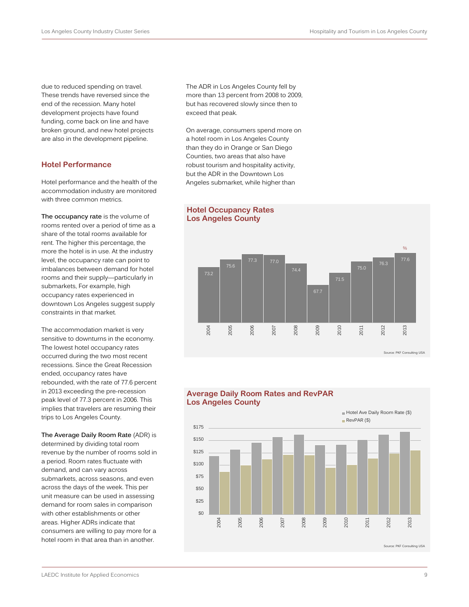due to reduced spending on travel. These trends have reversed since the end of the recession. Many hotel development projects have found funding, come back on line and have broken ground, and new hotel projects are also in the development pipeline.

## **Hotel Performance**

Hotel performance and the health of the accommodation industry are monitored with three common metrics.

**The occupancy rate** is the volume of rooms rented over a period of time as a share of the total rooms available for rent. The higher this percentage, the more the hotel is in use. At the industry level, the occupancy rate can point to imbalances between demand for hotel rooms and their supply—particularly in submarkets, For example, high occupancy rates experienced in downtown Los Angeles suggest supply constraints in that market.

The accommodation market is very sensitive to downturns in the economy. The lowest hotel occupancy rates occurred during the two most recent recessions. Since the Great Recession ended, occupancy rates have rebounded, with the rate of 77.6 percent in 2013 exceeding the pre-recession peak level of 77.3 percent in 2006. This implies that travelers are resuming their trips to Los Angeles County.

**The Average Daily Room Rate** (ADR) is determined by dividing total room revenue by the number of rooms sold in a period. Room rates fluctuate with demand, and can vary across submarkets, across seasons, and even across the days of the week. This per unit measure can be used in assessing demand for room sales in comparison with other establishments or other areas. Higher ADRs indicate that consumers are willing to pay more for a hotel room in that area than in another.

The ADR in Los Angeles County fell by more than 13 percent from 2008 to 2009, but has recovered slowly since then to exceed that peak.

On average, consumers spend more on a hotel room in Los Angeles County than they do in Orange or San Diego Counties, two areas that also have robust tourism and hospitality activity, but the ADR in the Downtown Los Angeles submarket, while higher than



## **Hotel Occupancy Rates Los Angeles County**

## **Average Daily Room Rates and RevPAR Los Angeles County**

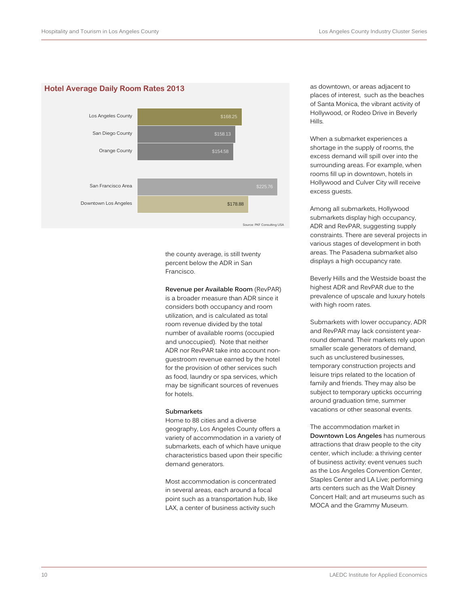#### **Hotel Average Daily Room Rates 2013**



the county average, is still twenty percent below the ADR in San Francisco.

**Revenue per Available Room** (RevPAR) is a broader measure than ADR since it considers both occupancy and room utilization, and is calculated as total room revenue divided by the total number of available rooms (occupied and unoccupied). Note that neither ADR nor RevPAR take into account nonguestroom revenue earned by the hotel for the provision of other services such as food, laundry or spa services, which may be significant sources of revenues for hotels.

#### **Submarkets**

Home to 88 cities and a diverse geography, Los Angeles County offers a variety of accommodation in a variety of submarkets, each of which have unique characteristics based upon their specific demand generators.

Most accommodation is concentrated in several areas, each around a focal point such as a transportation hub, like LAX, a center of business activity such

as downtown, or areas adjacent to places of interest, such as the beaches of Santa Monica, the vibrant activity of Hollywood, or Rodeo Drive in Beverly Hills.

When a submarket experiences a shortage in the supply of rooms, the excess demand will spill over into the surrounding areas. For example, when rooms fill up in downtown, hotels in Hollywood and Culver City will receive excess guests.

Among all submarkets, Hollywood submarkets display high occupancy, ADR and RevPAR, suggesting supply constraints. There are several projects in various stages of development in both areas. The Pasadena submarket also displays a high occupancy rate.

Beverly Hills and the Westside boast the highest ADR and RevPAR due to the prevalence of upscale and luxury hotels with high room rates.

Submarkets with lower occupancy, ADR and RevPAR may lack consistent yearround demand. Their markets rely upon smaller scale generators of demand, such as unclustered businesses, temporary construction projects and leisure trips related to the location of family and friends. They may also be subject to temporary upticks occurring around graduation time, summer vacations or other seasonal events.

The accommodation market in **Downtown Los Angeles** has numerous attractions that draw people to the city center, which include: a thriving center of business activity; event venues such as the Los Angeles Convention Center, Staples Center and LA Live; performing arts centers such as the Walt Disney Concert Hall; and art museums such as MOCA and the Grammy Museum.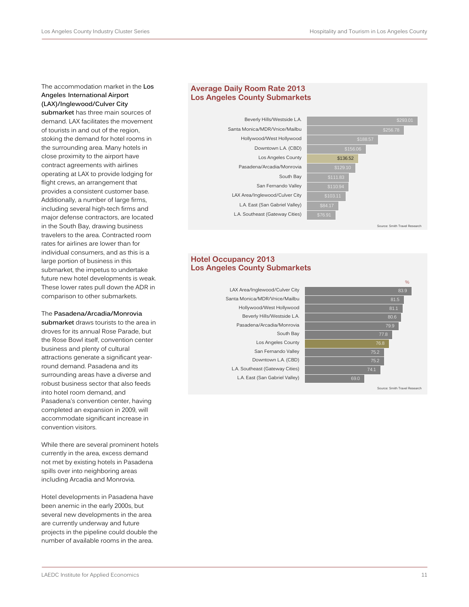The accommodation market in the **Los Angeles International Airport (LAX)/Inglewood/Culver City** 

**submarket** has three main sources of demand. LAX facilitates the movement of tourists in and out of the region, stoking the demand for hotel rooms in the surrounding area. Many hotels in close proximity to the airport have contract agreements with airlines operating at LAX to provide lodging for flight crews, an arrangement that provides a consistent customer base. Additionally, a number of large firms, including several high-tech firms and major defense contractors, are located in the South Bay, drawing business travelers to the area. Contracted room rates for airlines are lower than for individual consumers, and as this is a large portion of business in this submarket, the impetus to undertake future new hotel developments is weak. These lower rates pull down the ADR in comparison to other submarkets.

The **Pasadena/Arcadia/Monrovia submarket** draws tourists to the area in droves for its annual Rose Parade, but the Rose Bowl itself, convention center business and plenty of cultural attractions generate a significant yearround demand. Pasadena and its surrounding areas have a diverse and robust business sector that also feeds into hotel room demand, and Pasadena's convention center, having completed an expansion in 2009, will accommodate significant increase in convention visitors.

While there are several prominent hotels currently in the area, excess demand not met by existing hotels in Pasadena spills over into neighboring areas including Arcadia and Monrovia.

Hotel developments in Pasadena have been anemic in the early 2000s, but several new developments in the area are currently underway and future projects in the pipeline could double the number of available rooms in the area.

## **Average Daily Room Rate 2013 Los Angeles County Submarkets**





Smith Travel Re

## **Hotel Occupancy 2013 Los Angeles County Submarkets**

L.A. East (San Gabriel Valley) L.A. Southeast (Gateway Cities) Downtown L.A. (CBD) San Fernando Valley Los Angeles County South Bay Pasadena/Arcadia/Monrovia Beverly Hills/Westside L.A. Hollywood/West Hollywood Santa Monica/MDR/Vnice/Mailbu LAX Area/Inglewood/Culver City



**Irce: Smith Travel Re**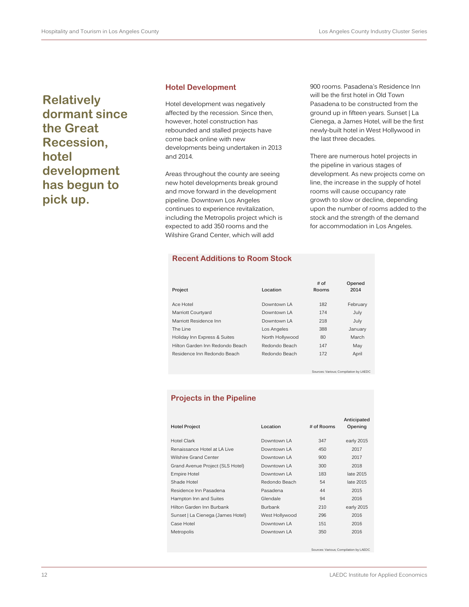**Relatively dormant since the Great Recession, hotel development has begun to pick up.** 

#### **Hotel Development**

Hotel development was negatively affected by the recession. Since then, however, hotel construction has rebounded and stalled projects have come back online with new developments being undertaken in 2013 and 2014.

Areas throughout the county are seeing new hotel developments break ground and move forward in the development pipeline. Downtown Los Angeles continues to experience revitalization, including the Metropolis project which is expected to add 350 rooms and the Wilshire Grand Center, which will add

**Recent Additions to Room Stock**

900 rooms. Pasadena's Residence Inn will be the first hotel in Old Town Pasadena to be constructed from the ground up in fifteen years. Sunset | La Cienega, a James Hotel, will be the first newly-built hotel in West Hollywood in the last three decades.

There are numerous hotel projects in the pipeline in various stages of development. As new projects come on line, the increase in the supply of hotel rooms will cause occupancy rate growth to slow or decline, depending upon the number of rooms added to the stock and the strength of the demand for accommodation in Los Angeles.

| Project                         | Location        | # of<br>Rooms | Opened<br>2014 |
|---------------------------------|-----------------|---------------|----------------|
| Ace Hotel                       | Downtown I A    | 182           | February       |
| Marriott Courtyard              | Downtown I A    | 174           | July           |
| Marriott Residence Inn          | Downtown I A    | 218           | July           |
| The Line                        | Los Angeles     | 388           | January        |
| Holiday Inn Express & Suites    | North Hollywood | 80            | March          |
| Hilton Garden Inn Redondo Beach | Redondo Beach   | 147           | May            |
| Residence Inn Redondo Beach     | Redondo Beach   | 172           | April          |
|                                 |                 |               |                |

Sources: Various; Compilation by LAEDC

## **Projects in the Pipeline**

| <b>Hotel Project</b>              | Location       | # of Rooms | Anticipated<br>Opening |
|-----------------------------------|----------------|------------|------------------------|
| Hotel Clark                       | Downtown LA    | 347        | early 2015             |
| Renaissance Hotel at LA Live      | Downtown LA    | 450        | 2017                   |
| Wilshire Grand Center             | Downtown LA    | 900        | 2017                   |
| Grand Avenue Project (SLS Hotel)  | Downtown LA    | 300        | 2018                   |
| <b>Empire Hotel</b>               | Downtown LA    | 183        | late 2015              |
| Shade Hotel                       | Redondo Beach  | 54         | late 2015              |
| Residence Inn Pasadena            | Pasadena       | 44         | 2015                   |
| Hampton Inn and Suites            | Glendale       | 94         | 2016                   |
| Hilton Garden Inn Burbank         | <b>Burbank</b> | 210        | early 2015             |
| Sunset   La Cienega (James Hotel) | West Hollywood | 296        | 2016                   |
| Case Hotel                        | Downtown I A   | 151        | 2016                   |
| Metropolis                        | Downtown LA    | 350        | 2016                   |

Sources: Various; Compilation by LAEDC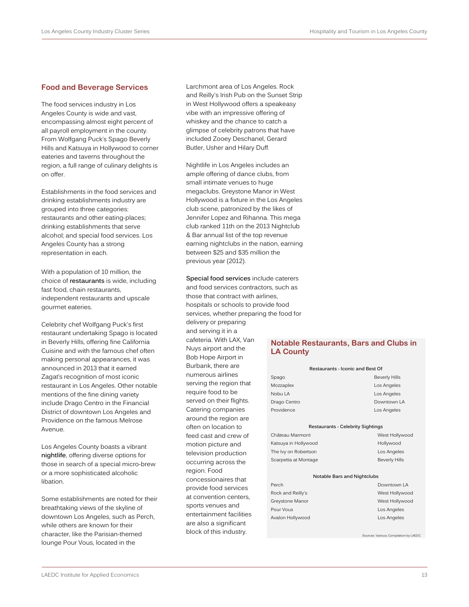## **Food and Beverage Services**

The food services industry in Los Angeles County is wide and vast, encompassing almost eight percent of all payroll employment in the county. From Wolfgang Puck's Spago Beverly Hills and Katsuya in Hollywood to corner eateries and taverns throughout the region, a full range of culinary delights is on offer.

Establishments in the food services and drinking establishments industry are grouped into three categories: restaurants and other eating-places; drinking establishments that serve alcohol; and special food services. Los Angeles County has a strong representation in each.

With a population of 10 million, the choice of **restaurants** is wide, including fast food, chain restaurants, independent restaurants and upscale gourmet eateries.

Celebrity chef Wolfgang Puck's first restaurant undertaking Spago is located in Beverly Hills, offering fine California Cuisine and with the famous chef often making personal appearances, it was announced in 2013 that it earned Zagat's recognition of most iconic restaurant in Los Angeles. Other notable mentions of the fine dining variety include Drago Centro in the Financial District of downtown Los Angeles and Providence on the famous Melrose Avenue.

Los Angeles County boasts a vibrant **nightlife**, offering diverse options for those in search of a special micro-brew or a more sophisticated alcoholic libation.

Some establishments are noted for their breathtaking views of the skyline of downtown Los Angeles, such as Perch, while others are known for their character, like the Parisian-themed lounge Pour Vous, located in the

Larchmont area of Los Angeles. Rock and Reilly's Irish Pub on the Sunset Strip in West Hollywood offers a speakeasy vibe with an impressive offering of whiskey and the chance to catch a glimpse of celebrity patrons that have included Zooey Deschanel, Gerard Butler, Usher and Hilary Duff.

Nightlife in Los Angeles includes an ample offering of dance clubs, from small intimate venues to huge megaclubs. Greystone Manor in West Hollywood is a fixture in the Los Angeles club scene, patronized by the likes of Jennifer Lopez and Rihanna. This mega club ranked 11th on the 2013 Nightclub & Bar annual list of the top revenue earning nightclubs in the nation, earning between \$25 and \$35 million the previous year (2012).

**Special food services** include caterers and food services contractors, such as those that contract with airlines, hospitals or schools to provide food services, whether preparing the food for delivery or preparing and serving it in a cafeteria. With LAX, Van Nuys airport and the Bob Hope Airport in Burbank, there are numerous airlines serving the region that require food to be served on their flights. Catering companies around the region are often on location to feed cast and crew of motion picture and television production occurring across the region. Food concessionaires that provide food services at convention centers, sports venues and entertainment facilities are also a significant block of this industry.

## **Notable Restaurants, Bars and Clubs in LA County**

| Restaurants - Iconic and Best Of  |                                          |  |
|-----------------------------------|------------------------------------------|--|
| Spago                             | <b>Beverly Hills</b>                     |  |
| Mozzaplex                         | Los Angeles                              |  |
| Nobu LA                           | Los Angeles                              |  |
| Drago Centro                      | Downtown LA                              |  |
| Providence                        | Los Angeles                              |  |
|                                   | <b>Restaurants - Celebrity Sightings</b> |  |
| Château Marmont                   | West Hollywood                           |  |
| Hollywood<br>Katsuya in Hollywood |                                          |  |
| The Ivy on Robertson              | Los Angeles                              |  |
| Scarpetta at Montage              | <b>Beverly Hills</b>                     |  |
|                                   | Notable Bars and Nightclubs              |  |
| Perch                             | Downtown LA                              |  |
| Rock and Reilly's                 | West Hollywood                           |  |
| Greystone Manor                   | West Hollywood                           |  |
| Pour Vous                         | Los Angeles                              |  |
| Avalon Hollywood                  | Los Angeles                              |  |

Sources: Various; Compilation by LAEDC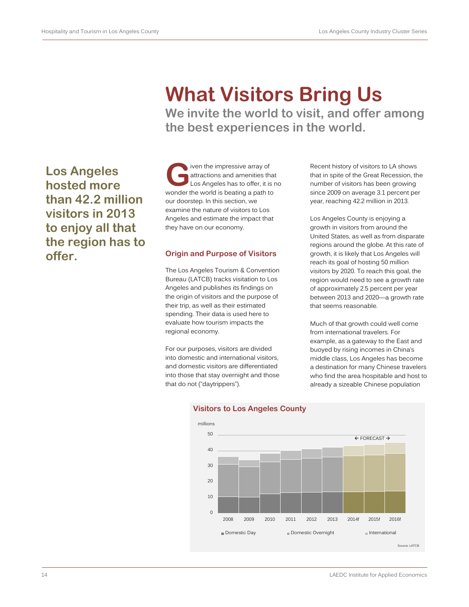# **What Visitors Bring Us**

**We invite the world to visit, and offer among the best experiences in the world.**

**Los Angeles hosted more than 42.2 million visitors in 2013 to enjoy all that the region has to offer.**

iven the impressive array of attractions and amenities that Los Angeles has to offer, it is no wonder the world is beating a path to our doorstep. In this section, we examine the nature of visitors to Los Angeles and estimate the impact that they have on our economy. **G**

## **Origin and Purpose of Visitors**

The Los Angeles Tourism & Convention Bureau (LATCB) tracks visitation to Los Angeles and publishes its findings on the origin of visitors and the purpose of their trip, as well as their estimated spending. Their data is used here to evaluate how tourism impacts the regional economy.

For our purposes, visitors are divided into domestic and international visitors, and domestic visitors are differentiated into those that stay overnight and those that do not ("daytrippers").

Recent history of visitors to LA shows that in spite of the Great Recession, the number of visitors has been growing since 2009 on average 3.1 percent per year, reaching 42.2 million in 2013.

Los Angeles County is enjoying a growth in visitors from around the United States, as well as from disparate regions around the globe. At this rate of growth, it is likely that Los Angeles will reach its goal of hosting 50 million visitors by 2020. To reach this goal, the region would need to see a growth rate of approximately 2.5 percent per year between 2013 and 2020—a growth rate that seems reasonable.

Much of that growth could well come from international travelers. For example, as a gateway to the East and buoyed by rising incomes in China's middle class, Los Angeles has become a destination for many Chinese travelers who find the area hospitable and host to already a sizeable Chinese population



## **Visitors to Los Angeles County**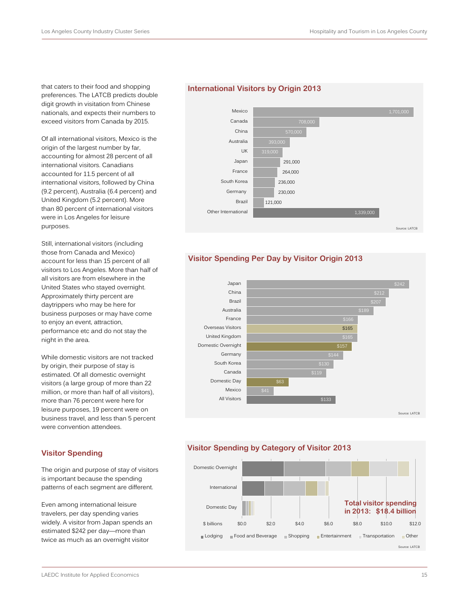that caters to their food and shopping preferences. The LATCB predicts double digit growth in visitation from Chinese nationals, and expects their numbers to exceed visitors from Canada by 2015.

Of all international visitors, Mexico is the origin of the largest number by far, accounting for almost 28 percent of all international visitors. Canadians accounted for 11.5 percent of all international visitors, followed by China (9.2 percent), Australia (6.4 percent) and United Kingdom (5.2 percent). More than 80 percent of international visitors were in Los Angeles for leisure purposes.

Still, international visitors (including those from Canada and Mexico) account for less than 15 percent of all visitors to Los Angeles. More than half of all visitors are from elsewhere in the United States who stayed overnight. Approximately thirty percent are daytrippers who may be here for business purposes or may have come to enjoy an event, attraction, performance etc and do not stay the night in the area.

While domestic visitors are not tracked by origin, their purpose of stay is estimated. Of all domestic overnight visitors (a large group of more than 22 million, or more than half of all visitors), more than 76 percent were here for leisure purposes, 19 percent were on business travel, and less than 5 percent were convention attendees.

#### **Visitor Spending**

The origin and purpose of stay of visitors is important because the spending patterns of each segment are different.

Even among international leisure travelers, per day spending varies widely. A visitor from Japan spends an estimated \$242 per day—more than twice as much as an overnight visitor

### **International Visitors by Origin 2013**



## **Visitor Spending Per Day by Visitor Origin 2013**



## **Visitor Spending by Category of Visitor 2013**

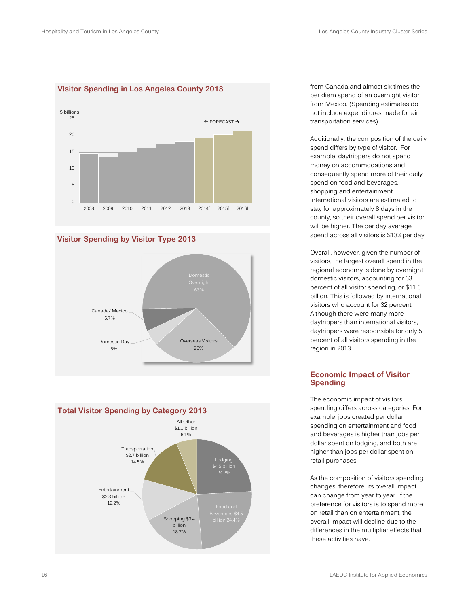

## **Visitor Spending in Los Angeles County 2013**







from Canada and almost six times the per diem spend of an overnight visitor from Mexico. (Spending estimates do not include expenditures made for air transportation services).

Additionally, the composition of the daily spend differs by type of visitor. For example, daytrippers do not spend money on accommodations and consequently spend more of their daily spend on food and beverages, shopping and entertainment. International visitors are estimated to stay for approximately 8 days in the county, so their overall spend per visitor will be higher. The per day average spend across all visitors is \$133 per day.

Overall, however, given the number of visitors, the largest overall spend in the regional economy is done by overnight domestic visitors, accounting for 63 percent of all visitor spending, or \$11.6 billion. This is followed by international visitors who account for 32 percent. Although there were many more daytrippers than international visitors, daytrippers were responsible for only 5 percent of all visitors spending in the region in 2013.

## **Economic Impact of Visitor Spending**

The economic impact of visitors spending differs across categories. For example, jobs created per dollar spending on entertainment and food and beverages is higher than jobs per dollar spent on lodging, and both are higher than jobs per dollar spent on retail purchases.

As the composition of visitors spending changes, therefore, its overall impact can change from year to year. If the preference for visitors is to spend more on retail than on entertainment, the overall impact will decline due to the differences in the multiplier effects that these activities have.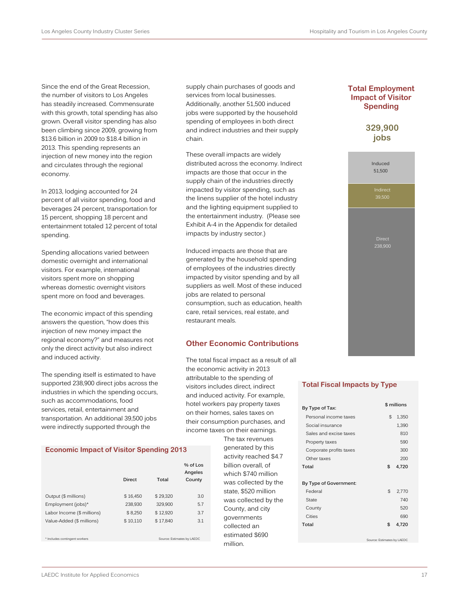Since the end of the Great Recession, the number of visitors to Los Angeles has steadily increased. Commensurate with this growth, total spending has also grown. Overall visitor spending has also been climbing since 2009, growing from \$13.6 billion in 2009 to \$18.4 billion in 2013. This spending represents an injection of new money into the region and circulates through the regional economy.

In 2013, lodging accounted for 24 percent of all visitor spending, food and beverages 24 percent, transportation for 15 percent, shopping 18 percent and entertainment totaled 12 percent of total spending.

Spending allocations varied between domestic overnight and international visitors. For example, international visitors spent more on shopping whereas domestic overnight visitors spent more on food and beverages.

The economic impact of this spending answers the question, "how does this injection of new money impact the regional economy?" and measures not only the direct activity but also indirect and induced activity.

The spending itself is estimated to have supported 238,900 direct jobs across the industries in which the spending occurs, such as accommodations, food services, retail, entertainment and transportation. An additional 39,500 jobs were indirectly supported through the

#### **Economic Impact of Visitor Spending 2013**

|                               | <b>Direct</b> | Total    | $%$ of Los<br>Angeles<br>County |
|-------------------------------|---------------|----------|---------------------------------|
| Output (\$ millions)          | \$16,450      | \$29,320 | 3.0                             |
| Employment (jobs)*            | 238,930       | 329,900  | 5.7                             |
| Labor Income (\$ millions)    | \$8,250       | \$12,920 | 3.7                             |
| Value-Added (\$ millions)     | \$10,110      | \$17,840 | 3.1                             |
| * Includes contingent workers |               |          | Source: Estimates by LAEDC      |

supply chain purchases of goods and services from local businesses. Additionally, another 51,500 induced jobs were supported by the household spending of employees in both direct and indirect industries and their supply chain.

These overall impacts are widely distributed across the economy. Indirect impacts are those that occur in the supply chain of the industries directly impacted by visitor spending, such as the linens supplier of the hotel industry and the lighting equipment supplied to the entertainment industry. (Please see Exhibit A-4 in the Appendix for detailed impacts by industry sector.)

Induced impacts are those that are generated by the household spending of employees of the industries directly impacted by visitor spending and by all suppliers as well. Most of these induced jobs are related to personal consumption, such as education, health care, retail services, real estate, and restaurant meals.

## **Other Economic Contributions**

The total fiscal impact as a result of all the economic activity in 2013 attributable to the spending of visitors includes direct, indirect and induced activity. For example, hotel workers pay property taxes on their homes, sales taxes on their consumption purchases, and income taxes on their earnings.

> The tax revenues generated by this activity reached \$4.7 billion overall, of which \$740 million was collected by the state, \$520 million was collected by the County, and city governments collected an estimated \$690 million.

## **Total Employment Impact of Visitor Spending**

**329,900 jobs**



#### **Total Fiscal Impacts by Type**

| By Type of Tax:         | \$ millions |       |
|-------------------------|-------------|-------|
| Personal income taxes   | \$          | 1,350 |
| Social insurance        |             | 1,390 |
| Sales and excise taxes  |             | 810   |
| Property taxes          |             | 590   |
| Corporate profits taxes |             | 300   |
| Other taxes             |             | 200   |
| Total                   | \$          | 4,720 |
| By Type of Government:  |             |       |
| Federal                 | \$          | 2.770 |
| State                   |             | 740   |
| County                  |             | 520   |
| Cities                  |             | 690   |
| Total                   | \$          | 4,720 |
|                         |             |       |

Source: Estimates by LAEDC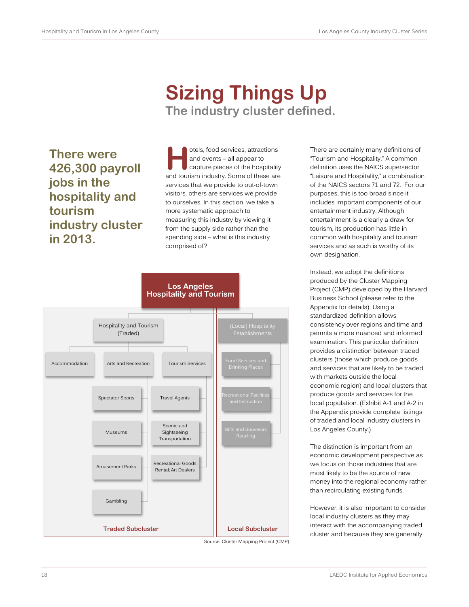## **Sizing Things Up The industry cluster defined.**

**There were 426,300 payroll jobs in the hospitality and tourism industry cluster in 2013.** 

otels, food services, attractions and events – all appear to capture pieces of the hospitality otels, food services, attractions<br>and events – all appear to<br>capture pieces of the hospitality<br>and tourism industry. Some of these are services that we provide to out-of-town visitors, others are services we provide to ourselves. In this section, we take a more systematic approach to measuring this industry by viewing it from the supply side rather than the spending side – what is this industry comprised of?



Source: Cluster Mapping Project (CMP)

There are certainly many definitions of "Tourism and Hospitality." A common definition uses the NAICS supersector "Leisure and Hospitality," a combination of the NAICS sectors 71 and 72. For our purposes, this is too broad since it includes important components of our entertainment industry. Although entertainment is a clearly a draw for tourism, its production has little in common with hospitality and tourism services and as such is worthy of its own designation.

Instead, we adopt the definitions produced by the Cluster Mapping Project (CMP) developed by the Harvard Business School (please refer to the Appendix for details). Using a standardized definition allows consistency over regions and time and permits a more nuanced and informed examination. This particular definition provides a distinction between traded clusters (those which produce goods and services that are likely to be traded with markets outside the local economic region) and local clusters that produce goods and services for the local population. (Exhibit A-1 and A-2 in the Appendix provide complete listings of traded and local industry clusters in Los Angeles County.)

The distinction is important from an economic development perspective as we focus on those industries that are most likely to be the source of new money into the regional economy rather than recirculating existing funds.

However, it is also important to consider local industry clusters as they may interact with the accompanying traded cluster and because they are generally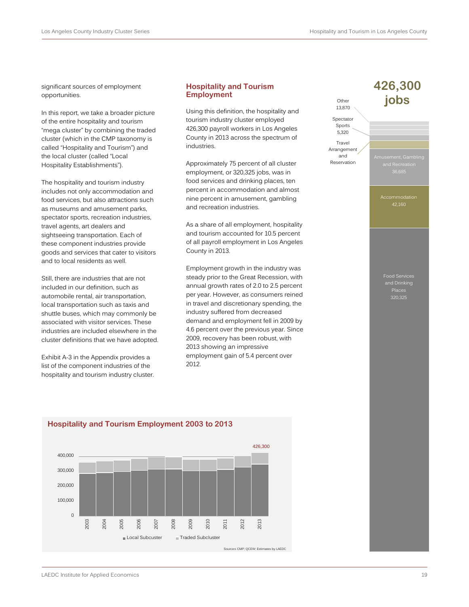significant sources of employment opportunities.

In this report, we take a broader picture of the entire hospitality and tourism "mega cluster" by combining the traded cluster (which in the CMP taxonomy is called "Hospitality and Tourism") and the local cluster (called "Local Hospitality Establishments").

The hospitality and tourism industry includes not only accommodation and food services, but also attractions such as museums and amusement parks, spectator sports, recreation industries, travel agents, art dealers and sightseeing transportation. Each of these component industries provide goods and services that cater to visitors and to local residents as well.

Still, there are industries that are not included in our definition, such as automobile rental, air transportation, local transportation such as taxis and shuttle buses, which may commonly be associated with visitor services. These industries are included elsewhere in the cluster definitions that we have adopted.

Exhibit A-3 in the Appendix provides a list of the component industries of the hospitality and tourism industry cluster.

## **Hospitality and Tourism Employment**

Using this definition, the hospitality and tourism industry cluster employed 426,300 payroll workers in Los Angeles County in 2013 across the spectrum of industries.

Approximately 75 percent of all cluster employment, or 320,325 jobs, was in food services and drinking places, ten percent in accommodation and almost nine percent in amusement, gambling and recreation industries.

As a share of all employment, hospitality and tourism accounted for 10.5 percent of all payroll employment in Los Angeles County in 2013.

Employment growth in the industry was steady prior to the Great Recession, with annual growth rates of 2.0 to 2.5 percent per year. However, as consumers reined in travel and discretionary spending, the industry suffered from decreased demand and employment fell in 2009 by 4.6 percent over the previous year. Since 2009, recovery has been robust, with 2013 showing an impressive employment gain of 5.4 percent over 2012.

**426,300**

2013

Source:s CMP; QCEW; Estimates by LAEDC



## **Hospitality and Tourism Employment 2003 to 2013**

2003

2004

2005

2006

2007

2008

Local Subcuster Traded Subcluster

2009

2010

2011

2012

 $\Omega$ 

100,000 200,000 300,000 400,000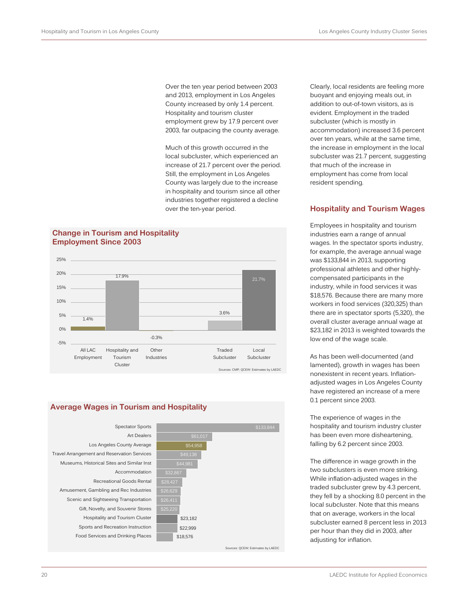Over the ten year period between 2003 and 2013, employment in Los Angeles County increased by only 1.4 percent. Hospitality and tourism cluster employment grew by 17.9 percent over 2003, far outpacing the county average.

Much of this growth occurred in the local subcluster, which experienced an increase of 21.7 percent over the period. Still, the employment in Los Angeles County was largely due to the increase in hospitality and tourism since all other industries together registered a decline over the ten-year period.

## **Change in Tourism and Hospitality Employment Since 2003**



## **Average Wages in Tourism and Hospitality**



buoyant and enjoying meals out, in addition to out-of-town visitors, as is evident. Employment in the traded subcluster (which is mostly in accommodation) increased 3.6 percent over ten years, while at the same time, the increase in employment in the local subcluster was 21.7 percent, suggesting that much of the increase in employment has come from local

Clearly, local residents are feeling more

## **Hospitality and Tourism Wages**

resident spending.

Employees in hospitality and tourism industries earn a range of annual wages. In the spectator sports industry, for example, the average annual wage was \$133,844 in 2013, supporting professional athletes and other highlycompensated participants in the industry, while in food services it was \$18,576. Because there are many more workers in food services (320,325) than there are in spectator sports (5,320), the overall cluster average annual wage at \$23,182 in 2013 is weighted towards the low end of the wage scale.

As has been well-documented (and lamented), growth in wages has been nonexistent in recent years. Inflationadjusted wages in Los Angeles County have registered an increase of a mere 0.1 percent since 2003.

The experience of wages in the hospitality and tourism industry cluster has been even more disheartening, falling by 6.2 percent since 2003.

The difference in wage growth in the two subclusters is even more striking. While inflation-adjusted wages in the traded subcluster grew by 4.3 percent, they fell by a shocking 8.0 percent in the local subcluster. Note that this means that on average, workers in the local subcluster earned 8 percent less in 2013 per hour than they did in 2003, after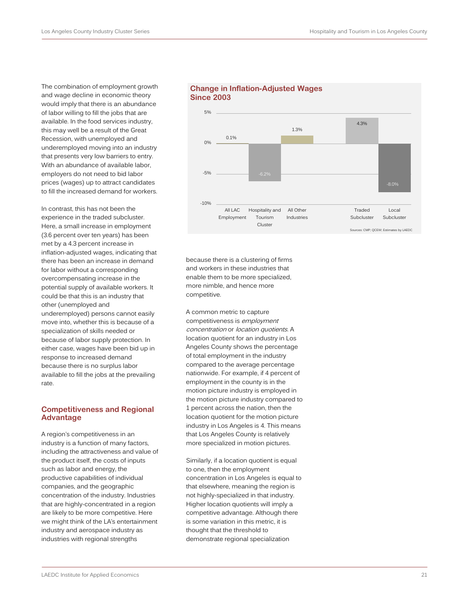The combination of employment growth and wage decline in economic theory would imply that there is an abundance of labor willing to fill the jobs that are available. In the food services industry, this may well be a result of the Great Recession, with unemployed and underemployed moving into an industry that presents very low barriers to entry. With an abundance of available labor, employers do not need to bid labor prices (wages) up to attract candidates to fill the increased demand for workers.

In contrast, this has not been the experience in the traded subcluster. Here, a small increase in employment (3.6 percent over ten years) has been met by a 4.3 percent increase in inflation-adjusted wages, indicating that there has been an increase in demand for labor without a corresponding overcompensating increase in the potential supply of available workers. It could be that this is an industry that other (unemployed and underemployed) persons cannot easily move into, whether this is because of a specialization of skills needed or because of labor supply protection. In either case, wages have been bid up in response to increased demand because there is no surplus labor available to fill the jobs at the prevailing rate.

## **Competitiveness and Regional Advantage**

A region's competitiveness in an industry is a function of many factors, including the attractiveness and value of the product itself, the costs of inputs such as labor and energy, the productive capabilities of individual companies, and the geographic concentration of the industry. Industries that are highly-concentrated in a region are likely to be more competitive. Here we might think of the LA's entertainment industry and aerospace industry as industries with regional strengths





because there is a clustering of firms and workers in these industries that enable them to be more specialized, more nimble, and hence more competitive.

A common metric to capture competitiveness is employment concentration or location quotients. A location quotient for an industry in Los Angeles County shows the percentage of total employment in the industry compared to the average percentage nationwide. For example, if 4 percent of employment in the county is in the motion picture industry is employed in the motion picture industry compared to 1 percent across the nation, then the location quotient for the motion picture industry in Los Angeles is 4. This means that Los Angeles County is relatively more specialized in motion pictures.

Similarly, if a location quotient is equal to one, then the employment concentration in Los Angeles is equal to that elsewhere, meaning the region is not highly-specialized in that industry. Higher location quotients will imply a competitive advantage. Although there is some variation in this metric, it is thought that the threshold to demonstrate regional specialization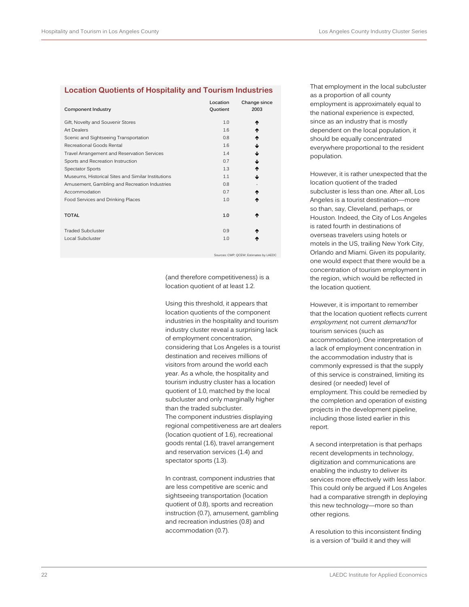## **Location Quotients of Hospitality and Tourism Industries**

| <b>Component Industry</b>                          | Location<br>Quotient | Change since<br>2003 |
|----------------------------------------------------|----------------------|----------------------|
| Gift, Novelty and Souvenir Stores                  | 1.0                  | ₼                    |
| Art Dealers                                        | 1.6                  |                      |
| Scenic and Sightseeing Transportation              | 0.8                  |                      |
| Recreational Goods Rental                          | 1.6                  |                      |
| Travel Arrangement and Reservation Services        | 1.4                  |                      |
| Sports and Recreation Instruction                  | 0.7                  | J                    |
| <b>Spectator Sports</b>                            | 1.3                  | ₼                    |
| Museums, Historical Sites and Similar Institutions | 1.1                  | J                    |
| Amusement, Gambling and Recreation Industries      | 0.8                  |                      |
| Accommodation                                      | 0.7                  | ́↑                   |
| Food Services and Drinking Places                  | 1.0                  | ↑                    |
| <b>TOTAL</b>                                       | 1.0                  | ₼                    |
| <b>Traded Subcluster</b>                           | 0.9                  |                      |
| Local Subcluster                                   | 1.0                  |                      |
|                                                    |                      |                      |

urces: CMP; QCEW; Estimates by LAEDC

(and therefore competitiveness) is a location quotient of at least 1.2.

Using this threshold, it appears that location quotients of the component industries in the hospitality and tourism industry cluster reveal a surprising lack of employment concentration, considering that Los Angeles is a tourist destination and receives millions of visitors from around the world each year. As a whole, the hospitality and tourism industry cluster has a location quotient of 1.0, matched by the local subcluster and only marginally higher than the traded subcluster. The component industries displaying regional competitiveness are art dealers (location quotient of 1.6), recreational goods rental (1.6), travel arrangement and reservation services (1.4) and spectator sports (1.3).

In contrast, component industries that are less competitive are scenic and sightseeing transportation (location quotient of 0.8), sports and recreation instruction (0.7), amusement, gambling and recreation industries (0.8) and accommodation (0.7).

That employment in the local subcluster as a proportion of all county employment is approximately equal to the national experience is expected, since as an industry that is mostly dependent on the local population, it should be equally concentrated everywhere proportional to the resident population.

However, it is rather unexpected that the location quotient of the traded subcluster is less than one. After all, Los Angeles is a tourist destination—more so than, say, Cleveland, perhaps, or Houston. Indeed, the City of Los Angeles is rated fourth in destinations of overseas travelers using hotels or motels in the US, trailing New York City, Orlando and Miami. Given its popularity, one would expect that there would be a concentration of tourism employment in the region, which would be reflected in the location quotient.

However, it is important to remember that the location quotient reflects current employment, not current demand for tourism services (such as accommodation). One interpretation of a lack of employment concentration in the accommodation industry that is commonly expressed is that the supply of this service is constrained, limiting its desired (or needed) level of employment. This could be remedied by the completion and operation of existing projects in the development pipeline, including those listed earlier in this report.

A second interpretation is that perhaps recent developments in technology, digitization and communications are enabling the industry to deliver its services more effectively with less labor. This could only be argued if Los Angeles had a comparative strength in deploying this new technology—more so than other regions.

A resolution to this inconsistent finding is a version of "build it and they will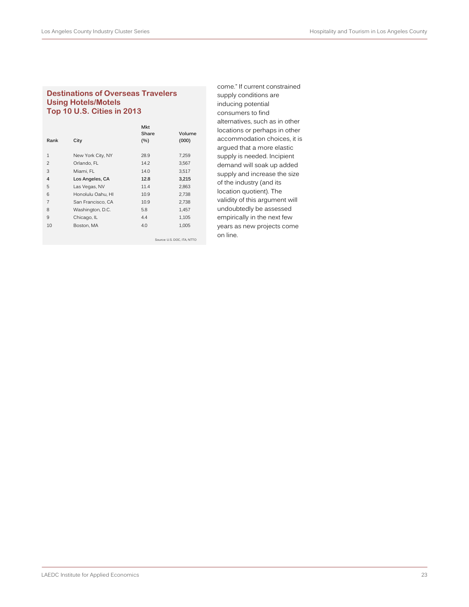## **Destinations of Overseas Travelers Using Hotels/Motels Top 10 U.S. Cities in 2013**

|                |                   | <b>Mkt</b> |                             |
|----------------|-------------------|------------|-----------------------------|
|                |                   | Share      | Volume                      |
| Rank           | City              | (%)        | (000)                       |
|                |                   |            |                             |
| $\mathbf{1}$   | New York City, NY | 28.9       | 7,259                       |
| $\overline{2}$ | Orlando, FL       | 14.2       | 3,567                       |
| 3              | Miami, FL         | 14.0       | 3,517                       |
| $\overline{4}$ | Los Angeles, CA   | 12.8       | 3,215                       |
| 5              | Las Vegas, NV     | 11.4       | 2,863                       |
| 6              | Honolulu Oahu, HI | 10.9       | 2,738                       |
| $\overline{7}$ | San Francisco, CA | 10.9       | 2,738                       |
| 8              | Washington, D.C.  | 5.8        | 1,457                       |
| 9              | Chicago, IL       | 4.4        | 1,105                       |
| 10             | Boston, MA        | 4.0        | 1,005                       |
|                |                   |            |                             |
|                |                   |            | Source: U.S. DOC. ITA. NTTO |

come." If current constrained supply conditions are inducing potential consumers to find alternatives, such as in other locations or perhaps in other accommodation choices, it is argued that a more elastic supply is needed. Incipient demand will soak up added supply and increase the size of the industry (and its location quotient). The validity of this argument will undoubtedly be assessed empirically in the next few years as new projects come on line.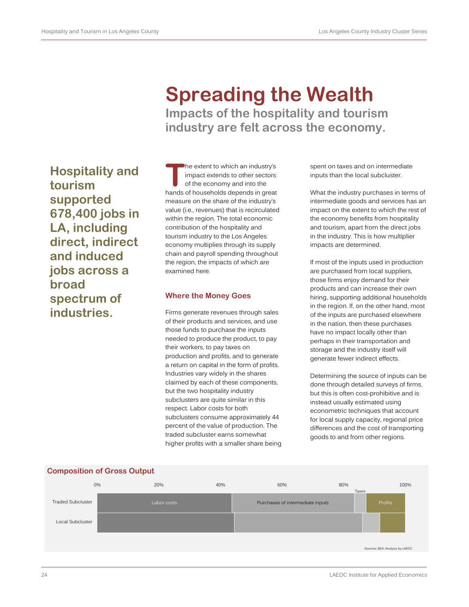## **Spreading the Wealth Impacts of the hospitality and tourism industry are felt across the economy.**

**T Hospitality and tourism supported 678,400 jobs in LA, including direct, indirect and induced jobs across a broad spectrum of industries.**

he extent to which an industry's impact extends to other sectors of the economy and into the hands of households depends in great measure on the share of the industry's value (i.e., revenues) that is recirculated within the region. The total economic contribution of the hospitality and tourism industry to the Los Angeles economy multiplies through its supply chain and payroll spending throughout the region, the impacts of which are examined here.

## **Where the Money Goes**

Firms generate revenues through sales of their products and services, and use those funds to purchase the inputs needed to produce the product, to pay their workers, to pay taxes on production and profits, and to generate a return on capital in the form of profits. Industries vary widely in the shares claimed by each of these components, but the two hospitality industry subclusters are quite similar in this respect. Labor costs for both subclusters consume approximately 44 percent of the value of production. The traded subcluster earns somewhat higher profits with a smaller share being

spent on taxes and on intermediate inputs than the local subcluster.

What the industry purchases in terms of intermediate goods and services has an impact on the extent to which the rest of the economy benefits from hospitality and tourism, apart from the direct jobs in the industry. This is how multiplier impacts are determined.

If most of the inputs used in production are purchased from local suppliers, those firms enjoy demand for their products and can increase their own hiring, supporting additional households in the region. If, on the other hand, most of the inputs are purchased elsewhere in the nation, then these purchases have no impact locally other than perhaps in their transportation and storage and the industry itself will generate fewer indirect effects.

Determining the source of inputs can be done through detailed surveys of firms, but this is often cost-prohibitive and is instead usually estimated using econometric techniques that account for local supply capacity, regional price differences and the cost of transporting goods to and from other regions.



## **Composition of Gross Output**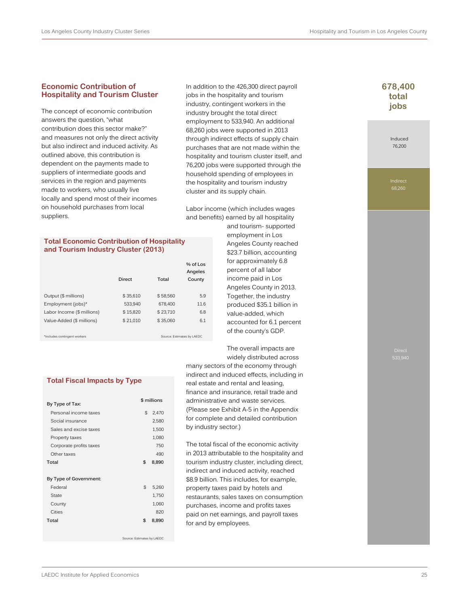## **Economic Contribution of Hospitality and Tourism Cluster**

The concept of economic contribution answers the question, "what contribution does this sector make?" and measures not only the direct activity but also indirect and induced activity. As outlined above, this contribution is dependent on the payments made to suppliers of intermediate goods and services in the region and payments made to workers, who usually live locally and spend most of their incomes on household purchases from local suppliers.

In addition to the 426,300 direct payroll jobs in the hospitality and tourism industry, contingent workers in the industry brought the total direct employment to 533,940. An additional 68,260 jobs were supported in 2013 through indirect effects of supply chain purchases that are not made within the hospitality and tourism cluster itself, and 76,200 jobs were supported through the household spending of employees in the hospitality and tourism industry cluster and its supply chain.

Labor income (which includes wages and benefits) earned by all hospitality

#### **Total Economic Contribution of Hospitality and Tourism Industry Cluster (2013)**

|                            | Direct   | Total    | % of Los<br>Angeles<br>County |
|----------------------------|----------|----------|-------------------------------|
| Output (\$ millions)       | \$35.610 | \$58,560 | 5.9                           |
| Employment (jobs)*         | 533.940  | 678.400  | 11.6                          |
| Labor Income (\$ millions) | \$15.820 | \$23.710 | 6.8                           |
| Value-Added (\$ millions)  | \$21.010 | \$35.060 | 6.1                           |

\*Includes contingent workers Source: Estimates by LAEDC

#### **Total Fiscal Impacts by Type**

| By Type of Tax:         | \$ millions |       |
|-------------------------|-------------|-------|
| Personal income taxes   | \$          | 2,470 |
| Social insurance        |             | 2,580 |
| Sales and excise taxes  |             |       |
|                         |             | 1,500 |
| Property taxes          |             | 1,080 |
| Corporate profits taxes |             | 750   |
| Other taxes             |             | 490   |
| Total                   | \$          | 8,890 |
| By Type of Government:  |             |       |
| Federal                 | \$          | 5,260 |
| <b>State</b>            |             | 1,750 |
| County                  |             | 1,060 |
| Cities                  |             | 820   |
| Total                   | \$          | 8,890 |
|                         |             |       |

Source: Estimates by LAEDC

and tourism- supported employment in Los Angeles County reached \$23.7 billion, accounting for approximately 6.8 percent of all labor income paid in Los Angeles County in 2013. Together, the industry produced \$35.1 billion in value-added, which accounted for 6.1 percent of the county's GDP.

The overall impacts are widely distributed across

many sectors of the economy through indirect and induced effects, including in real estate and rental and leasing, finance and insurance, retail trade and administrative and waste services. (Please see Exhibit A-5 in the Appendix for complete and detailed contribution by industry sector.)

The total fiscal of the economic activity in 2013 attributable to the hospitality and tourism industry cluster, including direct, indirect and induced activity, reached \$8.9 billion. This includes, for example, property taxes paid by hotels and restaurants, sales taxes on consumption purchases, income and profits taxes paid on net earnings, and payroll taxes for and by employees.

## **678,400 total jobs**

Induced 76,200

Indirect 68,260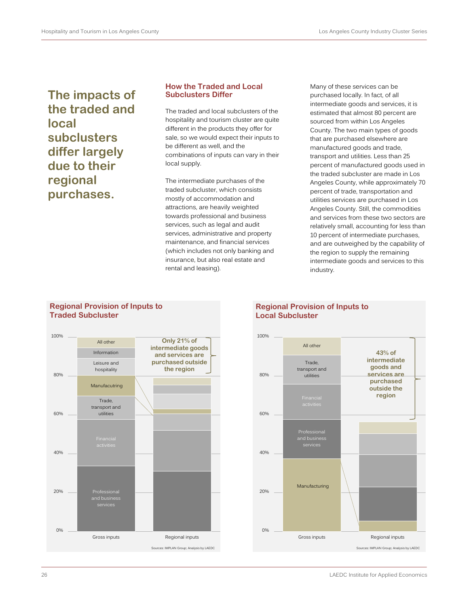**The impacts of the traded and local subclusters differ largely due to their regional purchases.**

## **How the Traded and Local Subclusters Differ**

The traded and local subclusters of the hospitality and tourism cluster are quite different in the products they offer for sale, so we would expect their inputs to be different as well, and the combinations of inputs can vary in their local supply.

The intermediate purchases of the traded subcluster, which consists mostly of accommodation and attractions, are heavily weighted towards professional and business services, such as legal and audit services, administrative and property maintenance, and financial services (which includes not only banking and insurance, but also real estate and rental and leasing).

Many of these services can be purchased locally. In fact, of all intermediate goods and services, it is estimated that almost 80 percent are sourced from within Los Angeles County. The two main types of goods that are purchased elsewhere are manufactured goods and trade, transport and utilities. Less than 25 percent of manufactured goods used in the traded subcluster are made in Los Angeles County, while approximately 70 percent of trade, transportation and utilities services are purchased in Los Angeles County. Still, the commodities and services from these two sectors are relatively small, accounting for less than 10 percent of intermediate purchases, and are outweighed by the capability of the region to supply the remaining intermediate goods and services to this industry.

## **Regional Provision of Inputs to Traded Subcluster**



## **Regional Provision of Inputs to Local Subcluster**

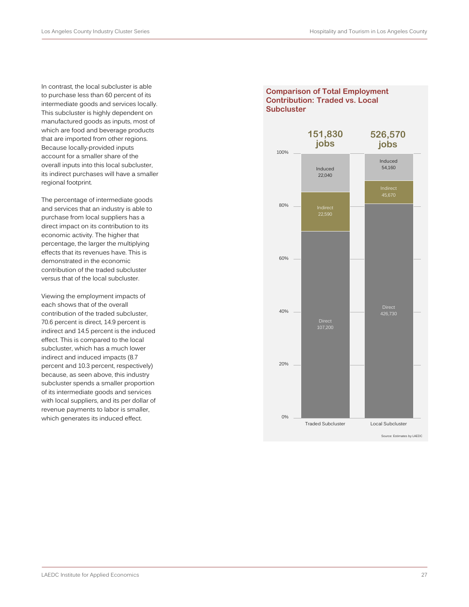In contrast, the local subcluster is able to purchase less than 60 percent of its intermediate goods and services locally. This subcluster is highly dependent on manufactured goods as inputs, most of which are food and beverage products that are imported from other regions. Because locally-provided inputs account for a smaller share of the overall inputs into this local subcluster, its indirect purchases will have a smaller regional footprint.

The percentage of intermediate goods and services that an industry is able to purchase from local suppliers has a direct impact on its contribution to its economic activity. The higher that percentage, the larger the multiplying effects that its revenues have. This is demonstrated in the economic contribution of the traded subcluster versus that of the local subcluster.

Viewing the employment impacts of each shows that of the overall contribution of the traded subcluster, 70.6 percent is direct, 14.9 percent is indirect and 14.5 percent is the induced effect. This is compared to the local subcluster, which has a much lower indirect and induced impacts (8.7 percent and 10.3 percent, respectively) because, as seen above, this industry subcluster spends a smaller proportion of its intermediate goods and services with local suppliers, and its per dollar of revenue payments to labor is smaller, which generates its induced effect.

## **Comparison of Total Employment Contribution: Traded vs. Local Subcluster**

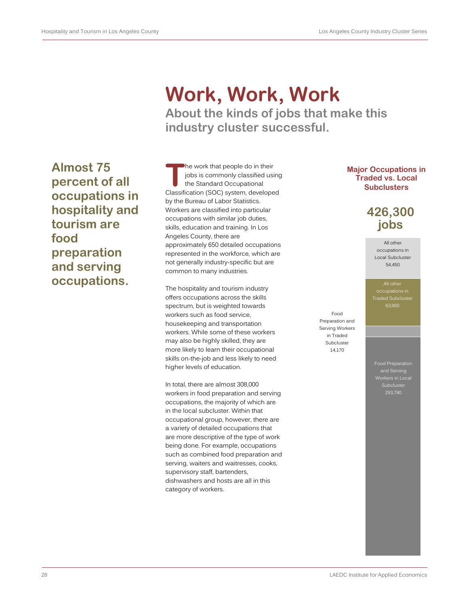# **Work, Work, Work About the kinds of jobs that make this**

**industry cluster successful.**

**T Almost 75 percent of all occupations in hospitality and tourism are food preparation and serving occupations.**

he work that people do in their jobs is commonly classified using the Standard Occupational Classification (SOC) system, developed by the Bureau of Labor Statistics. Workers are classified into particular occupations with similar job duties, skills, education and training. In Los Angeles County, there are approximately 650 detailed occupations represented in the workforce, which are not generally industry-specific but are common to many industries.

The hospitality and tourism industry offers occupations across the skills spectrum, but is weighted towards workers such as food service, housekeeping and transportation workers. While some of these workers may also be highly skilled, they are more likely to learn their occupational skills on-the-job and less likely to need higher levels of education.

In total, there are almost 308,000 workers in food preparation and serving occupations, the majority of which are in the local subcluster. Within that occupational group, however, there are a variety of detailed occupations that are more descriptive of the type of work being done. For example, occupations such as combined food preparation and serving, waiters and waitresses, cooks, supervisory staff, bartenders, dishwashers and hosts are all in this category of workers.

## **Major Occupations in Traded vs. Local Subclusters**

## **426,300 jobs**

All other occupations in Local Subcluster 54,450

All other occupations in Traded Subcluster

Food Preparation and Serving Workers in Traded Subcluster 14,170

> Food Preparation and Serving 293,780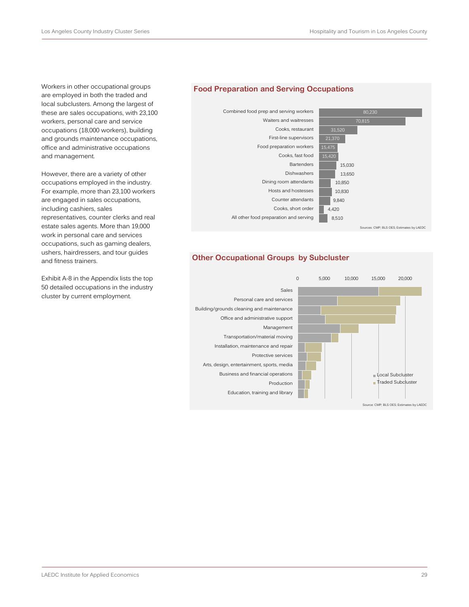Workers in other occupational groups are employed in both the traded and local subclusters. Among the largest of these are sales occupations, with 23,100 workers, personal care and service occupations (18,000 workers), building and grounds maintenance occupations, office and administrative occupations and management.

However, there are a variety of other occupations employed in the industry. For example, more than 23,100 workers are engaged in sales occupations, including cashiers, sales representatives, counter clerks and real estate sales agents. More than 19,000 work in personal care and services occupations, such as gaming dealers, ushers, hairdressers, and tour guides and fitness trainers.

Exhibit A-8 in the Appendix lists the top 50 detailed occupations in the industry cluster by current employment.

## **Food Preparation and Serving Occupations**



## **Other Occupational Groups by Subcluster**

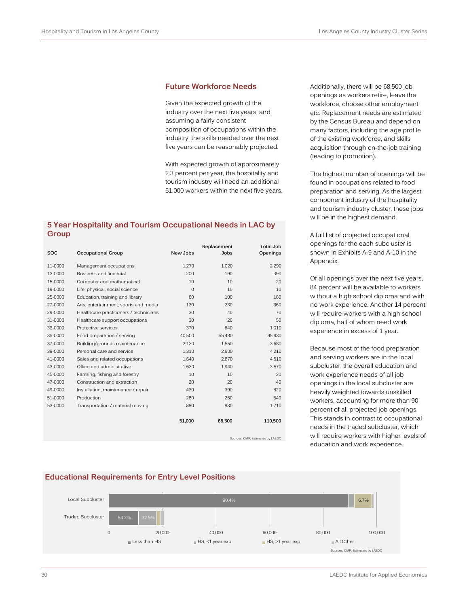### **Future Workforce Needs**

Given the expected growth of the industry over the next five years, and assuming a fairly consistent composition of occupations within the industry, the skills needed over the next five years can be reasonably projected.

With expected growth of approximately 2.3 percent per year, the hospitality and tourism industry will need an additional 51,000 workers within the next five years.

## **5 Year Hospitality and Tourism Occupational Needs in LAC by Group**

|            |                                        |             | Replacement | <b>Total Job</b> |
|------------|----------------------------------------|-------------|-------------|------------------|
| <b>SOC</b> | Occupational Group                     | New Jobs    | Jobs        | Openings         |
| 11-0000    | Management occupations                 | 1,270       | 1,020       | 2,290            |
| 13-0000    | Business and financial                 | 200         | 190         | 390              |
| 15-0000    | Computer and mathematical              | 10          | 10          | 20               |
| 19-0000    | Life, physical, social science         | $\mathbf 0$ | 10          | 10               |
| 25-0000    | Education, training and library        | 60          | 100         | 160              |
| 27-0000    | Arts, entertainment, sports and media  | 130         | 230         | 360              |
| 29-0000    | Healthcare practitioners / technicians | 30          | 40          | 70               |
| 31-0000    | Healthcare support occupations         | 30          | 20          | 50               |
| 33-0000    | Protective services                    | 370         | 640         | 1,010            |
| 35-0000    | Food preparation / serving             | 40,500      | 55,430      | 95,930           |
| 37-0000    | Building/grounds maintenance           | 2,130       | 1,550       | 3,680            |
| 39-0000    | Personal care and service              | 1,310       | 2,900       | 4,210            |
| 41-0000    | Sales and related occupations          | 1,640       | 2,870       | 4,510            |
| 43-0000    | Office and administrative              | 1,630       | 1,940       | 3.570            |
| 45-0000    | Farming, fishing and forestry          | 10          | 10          | 20               |
| 47-0000    | Construction and extraction            | 20          | 20          | 40               |
| 49-0000    | Installation, maintenance / repair     | 430         | 390         | 820              |
| 51-0000    | Production                             | 280         | 260         | 540              |
| 53-0000    | Transportation / material moving       | 880         | 830         | 1,710            |
|            |                                        | 51,000      | 68,500      | 119,500          |

Sources: CMP; Estimates by LAEDC

Additionally, there will be 68,500 job openings as workers retire, leave the workforce, choose other employment etc. Replacement needs are estimated by the Census Bureau and depend on many factors, including the age profile of the existing workforce, and skills acquisition through on-the-job training (leading to promotion).

The highest number of openings will be found in occupations related to food preparation and serving. As the largest component industry of the hospitality and tourism industry cluster, these jobs will be in the highest demand.

A full list of projected occupational openings for the each subcluster is shown in Exhibits A-9 and A-10 in the Appendix.

Of all openings over the next five years, 84 percent will be available to workers without a high school diploma and with no work experience. Another 14 percent will require workers with a high school diploma, half of whom need work experience in excess of 1 year.

Because most of the food preparation and serving workers are in the local subcluster, the overall education and work experience needs of all job openings in the local subcluster are heavily weighted towards unskilled workers, accounting for more than 90 percent of all projected job openings. This stands in contrast to occupational needs in the traded subcluster, which will require workers with higher levels of education and work experience.



## **Educational Requirements for Entry Level Positions**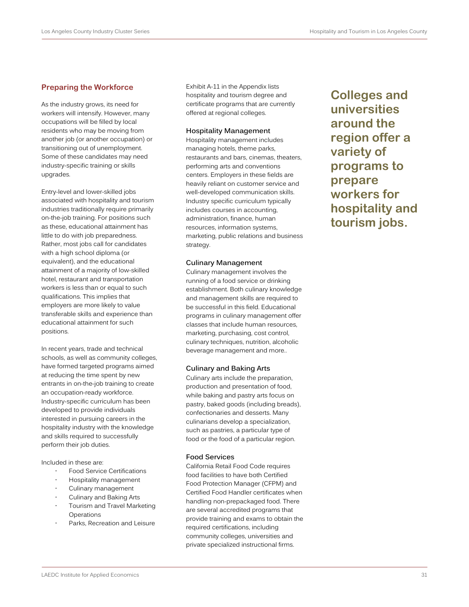## **Preparing the Workforce**

As the industry grows, its need for workers will intensify. However, many occupations will be filled by local residents who may be moving from another job (or another occupation) or transitioning out of unemployment. Some of these candidates may need industry-specific training or skills upgrades.

Entry-level and lower-skilled jobs associated with hospitality and tourism industries traditionally require primarily on-the-job training. For positions such as these, educational attainment has little to do with job preparedness. Rather, most jobs call for candidates with a high school diploma (or equivalent), and the educational attainment of a majority of low-skilled hotel, restaurant and transportation workers is less than or equal to such qualifications. This implies that employers are more likely to value transferable skills and experience than educational attainment for such positions.

In recent years, trade and technical schools, as well as community colleges, have formed targeted programs aimed at reducing the time spent by new entrants in on-the-job training to create an occupation-ready workforce. Industry-specific curriculum has been developed to provide individuals interested in pursuing careers in the hospitality industry with the knowledge and skills required to successfully perform their job duties.

Included in these are:

- Food Service Certifications
- Hospitality management
- Culinary management
- Culinary and Baking Arts
- Tourism and Travel Marketing **Operations**
- Parks, Recreation and Leisure

Exhibit A-11 in the Appendix lists hospitality and tourism degree and certificate programs that are currently offered at regional colleges.

#### **Hospitality Management**

Hospitality management includes managing hotels, theme parks, restaurants and bars, cinemas, theaters, performing arts and conventions centers. Employers in these fields are heavily reliant on customer service and well-developed communication skills. Industry specific curriculum typically includes courses in accounting, administration, finance, human resources, information systems, marketing, public relations and business strategy.

#### **Culinary Management**

Culinary management involves the running of a food service or drinking establishment. Both culinary knowledge and management skills are required to be successful in this field. Educational programs in culinary management offer classes that include human resources, marketing, purchasing, cost control, culinary techniques, nutrition, alcoholic beverage management and more..

#### **Culinary and Baking Arts**

Culinary arts include the preparation, production and presentation of food, while baking and pastry arts focus on pastry, baked goods (including breads), confectionaries and desserts. Many culinarians develop a specialization, such as pastries, a particular type of food or the food of a particular region.

#### **Food Services**

California Retail Food Code requires food facilities to have both Certified Food Protection Manager (CFPM) and Certified Food Handler certificates when handling non-prepackaged food. There are several accredited programs that provide training and exams to obtain the required certifications, including community colleges, universities and private specialized instructional firms.

**Colleges and universities around the region offer a variety of programs to prepare workers for hospitality and tourism jobs.**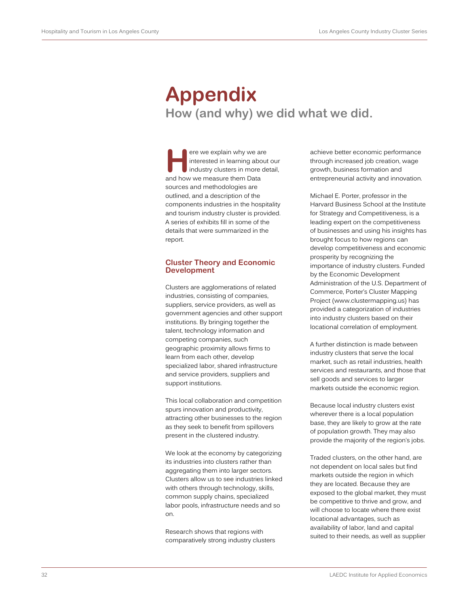## **Appendix How (and why) we did what we did.**

ere we explain why we are interested in learning about our industry clusters in more detail, and how we measure them Data sources and methodologies are outlined, and a description of the components industries in the hospitality and tourism industry cluster is provided. A series of exhibits fill in some of the details that were summarized in the report. **H**

### **Cluster Theory and Economic Development**

Clusters are agglomerations of related industries, consisting of companies, suppliers, service providers, as well as government agencies and other support institutions. By bringing together the talent, technology information and competing companies, such geographic proximity allows firms to learn from each other, develop specialized labor, shared infrastructure and service providers, suppliers and support institutions.

This local collaboration and competition spurs innovation and productivity, attracting other businesses to the region as they seek to benefit from spillovers present in the clustered industry.

We look at the economy by categorizing its industries into clusters rather than aggregating them into larger sectors. Clusters allow us to see industries linked with others through technology, skills, common supply chains, specialized labor pools, infrastructure needs and so on.

Research shows that regions with comparatively strong industry clusters

achieve better economic performance through increased job creation, wage growth, business formation and entrepreneurial activity and innovation.

Michael E. Porter, professor in the Harvard Business School at the Institute for Strategy and Competitiveness, is a leading expert on the competitiveness of businesses and using his insights has brought focus to how regions can develop competitiveness and economic prosperity by recognizing the importance of industry clusters. Funded by the Economic Development Administration of the U.S. Department of Commerce, Porter's Cluster Mapping Project (www.clustermapping.us) has provided a categorization of industries into industry clusters based on their locational correlation of employment.

A further distinction is made between industry clusters that serve the local market, such as retail industries, health services and restaurants, and those that sell goods and services to larger markets outside the economic region.

Because local industry clusters exist wherever there is a local population base, they are likely to grow at the rate of population growth. They may also provide the majority of the region's jobs.

Traded clusters, on the other hand, are not dependent on local sales but find markets outside the region in which they are located. Because they are exposed to the global market, they must be competitive to thrive and grow, and will choose to locate where there exist locational advantages, such as availability of labor, land and capital suited to their needs, as well as supplier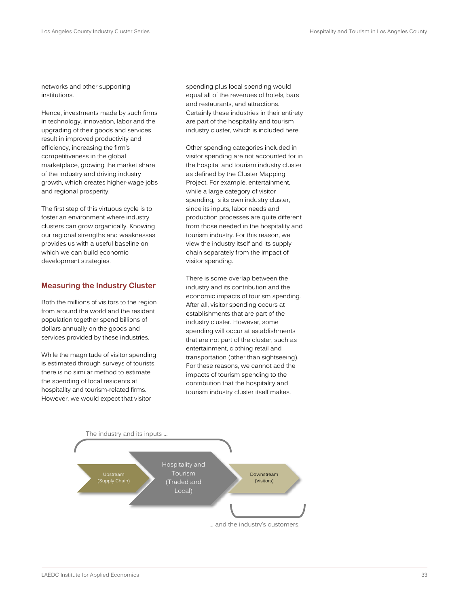networks and other supporting institutions.

Hence, investments made by such firms in technology, innovation, labor and the upgrading of their goods and services result in improved productivity and efficiency, increasing the firm's competitiveness in the global marketplace, growing the market share of the industry and driving industry growth, which creates higher-wage jobs and regional prosperity.

The first step of this virtuous cycle is to foster an environment where industry clusters can grow organically. Knowing our regional strengths and weaknesses provides us with a useful baseline on which we can build economic development strategies.

## **Measuring the Industry Cluster**

Both the millions of visitors to the region from around the world and the resident population together spend billions of dollars annually on the goods and services provided by these industries.

While the magnitude of visitor spending is estimated through surveys of tourists, there is no similar method to estimate the spending of local residents at hospitality and tourism-related firms. However, we would expect that visitor

spending plus local spending would equal all of the revenues of hotels, bars and restaurants, and attractions. Certainly these industries in their entirety are part of the hospitality and tourism industry cluster, which is included here.

Other spending categories included in visitor spending are not accounted for in the hospital and tourism industry cluster as defined by the Cluster Mapping Project. For example, entertainment, while a large category of visitor spending, is its own industry cluster, since its inputs, labor needs and production processes are quite different from those needed in the hospitality and tourism industry. For this reason, we view the industry itself and its supply chain separately from the impact of visitor spending.

There is some overlap between the industry and its contribution and the economic impacts of tourism spending. After all, visitor spending occurs at establishments that are part of the industry cluster. However, some spending will occur at establishments that are not part of the cluster, such as entertainment, clothing retail and transportation (other than sightseeing). For these reasons, we cannot add the impacts of tourism spending to the contribution that the hospitality and tourism industry cluster itself makes.

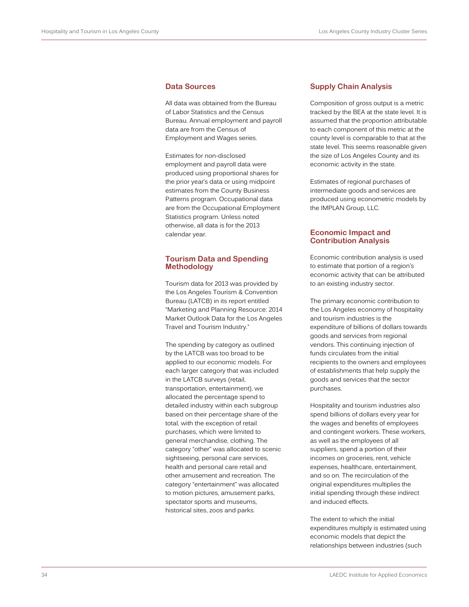## **Data Sources**

All data was obtained from the Bureau of Labor Statistics and the Census Bureau. Annual employment and payroll data are from the Census of Employment and Wages series.

Estimates for non-disclosed employment and payroll data were produced using proportional shares for the prior year's data or using midpoint estimates from the County Business Patterns program. Occupational data are from the Occupational Employment Statistics program. Unless noted otherwise, all data is for the 2013 calendar year.

### **Tourism Data and Spending Methodology**

Tourism data for 2013 was provided by the Los Angeles Tourism & Convention Bureau (LATCB) in its report entitled "Marketing and Planning Resource: 2014 Market Outlook Data for the Los Angeles Travel and Tourism Industry."

The spending by category as outlined by the LATCB was too broad to be applied to our economic models. For each larger category that was included in the LATCB surveys (retail, transportation, entertainment), we allocated the percentage spend to detailed industry within each subgroup based on their percentage share of the total, with the exception of retail purchases, which were limited to general merchandise, clothing. The category "other" was allocated to scenic sightseeing, personal care services, health and personal care retail and other amusement and recreation. The category "entertainment" was allocated to motion pictures, amusement parks, spectator sports and museums, historical sites, zoos and parks.

#### **Supply Chain Analysis**

Composition of gross output is a metric tracked by the BEA at the state level. It is assumed that the proportion attributable to each component of this metric at the county level is comparable to that at the state level. This seems reasonable given the size of Los Angeles County and its economic activity in the state.

Estimates of regional purchases of intermediate goods and services are produced using econometric models by the IMPLAN Group, LLC.

## **Economic Impact and Contribution Analysis**

Economic contribution analysis is used to estimate that portion of a region's economic activity that can be attributed to an existing industry sector.

The primary economic contribution to the Los Angeles economy of hospitality and tourism industries is the expenditure of billions of dollars towards goods and services from regional vendors. This continuing injection of funds circulates from the initial recipients to the owners and employees of establishments that help supply the goods and services that the sector purchases.

Hospitality and tourism industries also spend billions of dollars every year for the wages and benefits of employees and contingent workers. These workers, as well as the employees of all suppliers, spend a portion of their incomes on groceries, rent, vehicle expenses, healthcare, entertainment, and so on. The recirculation of the original expenditures multiplies the initial spending through these indirect and induced effects.

The extent to which the initial expenditures multiply is estimated using economic models that depict the relationships between industries (such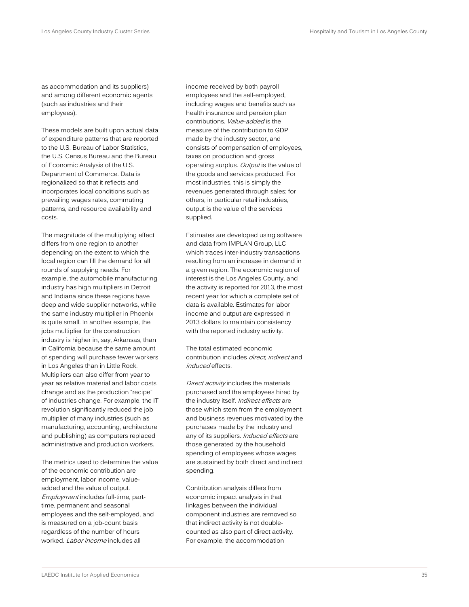as accommodation and its suppliers) and among different economic agents (such as industries and their employees).

These models are built upon actual data of expenditure patterns that are reported to the U.S. Bureau of Labor Statistics, the U.S. Census Bureau and the Bureau of Economic Analysis of the U.S. Department of Commerce. Data is regionalized so that it reflects and incorporates local conditions such as prevailing wages rates, commuting patterns, and resource availability and costs.

The magnitude of the multiplying effect differs from one region to another depending on the extent to which the local region can fill the demand for all rounds of supplying needs. For example, the automobile manufacturing industry has high multipliers in Detroit and Indiana since these regions have deep and wide supplier networks, while the same industry multiplier in Phoenix is quite small. In another example, the jobs multiplier for the construction industry is higher in, say, Arkansas, than in California because the same amount of spending will purchase fewer workers in Los Angeles than in Little Rock. Multipliers can also differ from year to year as relative material and labor costs change and as the production "recipe" of industries change. For example, the IT revolution significantly reduced the job multiplier of many industries (such as manufacturing, accounting, architecture and publishing) as computers replaced administrative and production workers.

The metrics used to determine the value of the economic contribution are employment, labor income, valueadded and the value of output. Employment includes full-time, parttime, permanent and seasonal employees and the self-employed, and is measured on a job-count basis regardless of the number of hours worked. Labor income includes all

income received by both payroll employees and the self-employed, including wages and benefits such as health insurance and pension plan contributions. Value-added is the measure of the contribution to GDP made by the industry sector, and consists of compensation of employees, taxes on production and gross operating surplus. Output is the value of the goods and services produced. For most industries, this is simply the revenues generated through sales; for others, in particular retail industries, output is the value of the services supplied.

Estimates are developed using software and data from IMPLAN Group, LLC which traces inter-industry transactions resulting from an increase in demand in a given region. The economic region of interest is the Los Angeles County, and the activity is reported for 2013, the most recent year for which a complete set of data is available. Estimates for labor income and output are expressed in 2013 dollars to maintain consistency with the reported industry activity.

The total estimated economic contribution includes *direct, indirect* and induced effects.

Direct activity includes the materials purchased and the employees hired by the industry itself. Indirect effects are those which stem from the employment and business revenues motivated by the purchases made by the industry and any of its suppliers. Induced effects are those generated by the household spending of employees whose wages are sustained by both direct and indirect spending.

Contribution analysis differs from economic impact analysis in that linkages between the individual component industries are removed so that indirect activity is not doublecounted as also part of direct activity. For example, the accommodation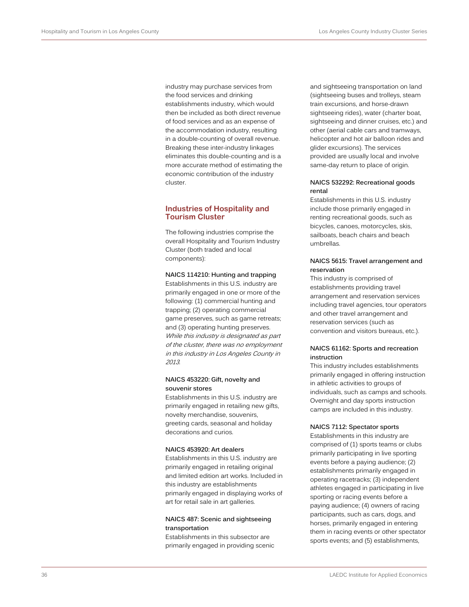industry may purchase services from the food services and drinking establishments industry, which would then be included as both direct revenue of food services and as an expense of the accommodation industry, resulting in a double-counting of overall revenue. Breaking these inter-industry linkages eliminates this double-counting and is a more accurate method of estimating the economic contribution of the industry cluster.

## **Industries of Hospitality and Tourism Cluster**

The following industries comprise the overall Hospitality and Tourism Industry Cluster (both traded and local components):

#### **NAICS 114210: Hunting and trapping**

Establishments in this U.S. industry are primarily engaged in one or more of the following: (1) commercial hunting and trapping; (2) operating commercial game preserves, such as game retreats; and (3) operating hunting preserves. While this industry is designated as part of the cluster, there was no employment in this industry in Los Angeles County in 2013.

#### **NAICS 453220: Gift, novelty and souvenir stores**

Establishments in this U.S. industry are primarily engaged in retailing new gifts, novelty merchandise, souvenirs, greeting cards, seasonal and holiday decorations and curios.

#### **NAICS 453920: Art dealers**

Establishments in this U.S. industry are primarily engaged in retailing original and limited edition art works. Included in this industry are establishments primarily engaged in displaying works of art for retail sale in art galleries.

#### **NAICS 487: Scenic and sightseeing transportation**

Establishments in this subsector are primarily engaged in providing scenic

and sightseeing transportation on land (sightseeing buses and trolleys, steam train excursions, and horse-drawn sightseeing rides), water (charter boat, sightseeing and dinner cruises, etc.) and other (aerial cable cars and tramways, helicopter and hot air balloon rides and glider excursions). The services provided are usually local and involve same-day return to place of origin.

### **NAICS 532292: Recreational goods rental**

Establishments in this U.S. industry include those primarily engaged in renting recreational goods, such as bicycles, canoes, motorcycles, skis, sailboats, beach chairs and beach umbrellas.

## **NAICS 5615: Travel arrangement and reservation**

This industry is comprised of establishments providing travel arrangement and reservation services including travel agencies, tour operators and other travel arrangement and reservation services (such as convention and visitors bureaus, etc.).

#### **NAICS 61162: Sports and recreation instruction**

This industry includes establishments primarily engaged in offering instruction in athletic activities to groups of individuals, such as camps and schools. Overnight and day sports instruction camps are included in this industry.

#### **NAICS 7112: Spectator sports**

Establishments in this industry are comprised of (1) sports teams or clubs primarily participating in live sporting events before a paying audience; (2) establishments primarily engaged in operating racetracks; (3) independent athletes engaged in participating in live sporting or racing events before a paying audience; (4) owners of racing participants, such as cars, dogs, and horses, primarily engaged in entering them in racing events or other spectator sports events; and (5) establishments,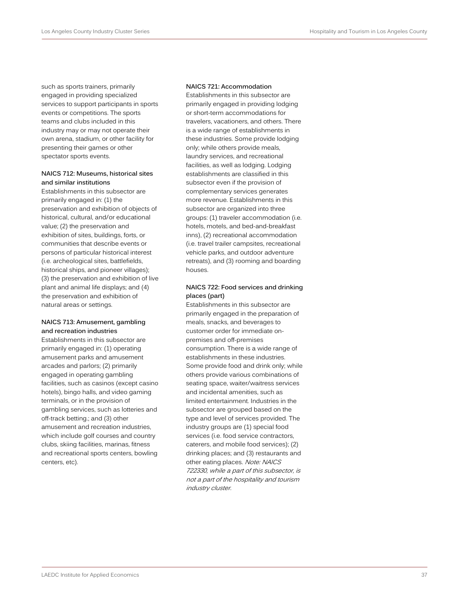such as sports trainers, primarily engaged in providing specialized services to support participants in sports events or competitions. The sports teams and clubs included in this industry may or may not operate their own arena, stadium, or other facility for presenting their games or other spectator sports events.

### **NAICS 712: Museums, historical sites and similar institutions**

Establishments in this subsector are primarily engaged in: (1) the preservation and exhibition of objects of historical, cultural, and/or educational value; (2) the preservation and exhibition of sites, buildings, forts, or communities that describe events or persons of particular historical interest (i.e. archeological sites, battlefields, historical ships, and pioneer villages); (3) the preservation and exhibition of live plant and animal life displays; and (4) the preservation and exhibition of natural areas or settings.

## **NAICS 713: Amusement, gambling and recreation industries**

Establishments in this subsector are primarily engaged in: (1) operating amusement parks and amusement arcades and parlors; (2) primarily engaged in operating gambling facilities, such as casinos (except casino hotels), bingo halls, and video gaming terminals, or in the provision of gambling services, such as lotteries and off-track betting.; and (3) other amusement and recreation industries, which include golf courses and country clubs, skiing facilities, marinas, fitness and recreational sports centers, bowling centers, etc).

#### **NAICS 721: Accommodation**

Establishments in this subsector are primarily engaged in providing lodging or short-term accommodations for travelers, vacationers, and others. There is a wide range of establishments in these industries. Some provide lodging only; while others provide meals, laundry services, and recreational facilities, as well as lodging. Lodging establishments are classified in this subsector even if the provision of complementary services generates more revenue. Establishments in this subsector are organized into three groups: (1) traveler accommodation (i.e. hotels, motels, and bed-and-breakfast inns), (2) recreational accommodation (i.e. travel trailer campsites, recreational vehicle parks, and outdoor adventure retreats), and (3) rooming and boarding houses.

## **NAICS 722: Food services and drinking places (part)**

Establishments in this subsector are primarily engaged in the preparation of meals, snacks, and beverages to customer order for immediate onpremises and off-premises consumption. There is a wide range of establishments in these industries. Some provide food and drink only; while others provide various combinations of seating space, waiter/waitress services and incidental amenities, such as limited entertainment. Industries in the subsector are grouped based on the type and level of services provided. The industry groups are (1) special food services (i.e. food service contractors, caterers, and mobile food services); (2) drinking places; and (3) restaurants and other eating places. Note: NAICS 722330, while a part of this subsector, is not a part of the hospitality and tourism industry cluster.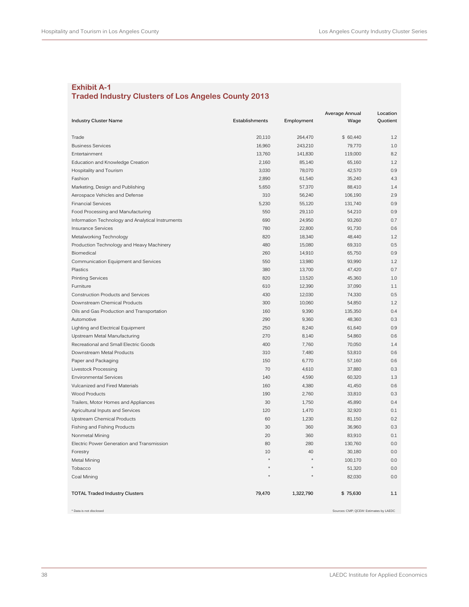## **Exhibit A-1 Traded Industry Clusters of Los Angeles County 2013**

|                                                   |                |            | Average Annual                         | Location |
|---------------------------------------------------|----------------|------------|----------------------------------------|----------|
| <b>Industry Cluster Name</b>                      | Establishments | Employment | Wage                                   | Quotient |
| Trade                                             | 20,110         | 264,470    | \$60,440                               | 1.2      |
| <b>Business Services</b>                          | 16,960         | 243,210    | 79,770                                 | 1.0      |
| Entertainment                                     | 13,760         | 141,830    | 119,000                                | 8.2      |
| Education and Knowledge Creation                  | 2,160          | 85,140     | 65,160                                 | 1.2      |
| Hospitality and Tourism                           | 3,030          | 78,070     | 42,570                                 | 0.9      |
| Fashion                                           | 2,890          | 61,540     | 35,240                                 | 4.3      |
| Marketing, Design and Publishing                  | 5,650          | 57,370     | 88,410                                 | 1.4      |
| Aerospace Vehicles and Defense                    | 310            | 56,240     | 106,190                                | 2.9      |
| <b>Financial Services</b>                         | 5,230          | 55,120     | 131,740                                | 0.9      |
| Food Processing and Manufacturing                 | 550            | 29,110     | 54,210                                 | 0.9      |
| Information Technology and Analytical Instruments | 690            | 24,950     | 93,260                                 | 0.7      |
| <b>Insurance Services</b>                         | 780            | 22,800     | 91,730                                 | 0.6      |
| Metalworking Technology                           | 820            | 18,340     | 48,440                                 | 1.2      |
| Production Technology and Heavy Machinery         | 480            | 15,080     | 69,310                                 | 0.5      |
| Biomedical                                        | 260            | 14,910     | 65,750                                 | 0.9      |
| Communication Equipment and Services              | 550            | 13,980     | 93,990                                 | 1.2      |
| Plastics                                          | 380            | 13,700     | 47,420                                 | 0.7      |
| <b>Printing Services</b>                          | 820            | 13,520     | 45,360                                 | 1.0      |
| Furniture                                         | 610            | 12,390     | 37,090                                 | 1.1      |
| Construction Products and Services                | 430            | 12,030     | 74,330                                 | 0.5      |
| Downstream Chemical Products                      | 300            | 10,060     | 54,850                                 | 1.2      |
| Oils and Gas Production and Transportation        | 160            | 9,390      | 135,350                                | 0.4      |
| Automotive                                        | 290            | 9,360      | 48,360                                 | 0.3      |
| Lighting and Electrical Equipment                 | 250            | 8,240      | 61,640                                 | 0.9      |
| Upstream Metal Manufacturing                      | 270            | 8,140      | 54,860                                 | 0.6      |
| Recreational and Small Electric Goods             | 400            | 7,760      | 70,050                                 | 1.4      |
| Downstream Metal Products                         | 310            | 7,480      | 53,810                                 | 0.6      |
| Paper and Packaging                               | 150            | 6,770      | 57,160                                 | 0.6      |
| Livestock Processing                              | 70             | 4,610      | 37,880                                 | 0.3      |
| <b>Environmental Services</b>                     | 140            | 4,590      | 60,320                                 | 1.3      |
| Vulcanized and Fired Materials                    | 160            | 4,380      | 41,450                                 | 0.6      |
| <b>Wood Products</b>                              | 190            | 2,760      | 33,810                                 | 0.3      |
| Trailers, Motor Homes and Appliances              | 30             | 1,750      | 45,890                                 | 0.4      |
| Agricultural Inputs and Services                  | 120            | 1,470      | 32,920                                 | 0.1      |
| Upstream Chemical Products                        | 60             | 1,230      | 81,150                                 | 0.2      |
| Fishing and Fishing Products                      | 30             | 360        | 36,960                                 | 0.3      |
| Nonmetal Mining                                   | 20             | 360        | 83,910                                 | 0.1      |
| Electric Power Generation and Transmission        | 80             | 280        | 130,760                                | 0.0      |
| Forestry                                          | 10             | 40         | 30,180                                 | 0.0      |
| Metal Mining                                      |                |            | 100,170                                | 0.0      |
| Tobacco                                           |                |            | 51,320                                 | 0.0      |
| Coal Mining                                       |                |            | 82,030                                 | 0.0      |
|                                                   |                |            |                                        |          |
| <b>TOTAL Traded Industry Clusters</b>             | 79,470         | 1,322,790  | \$75,630                               | 1.1      |
| * Data is not disclosed                           |                |            | Sources: CMP; QCEW: Estimates by LAEDC |          |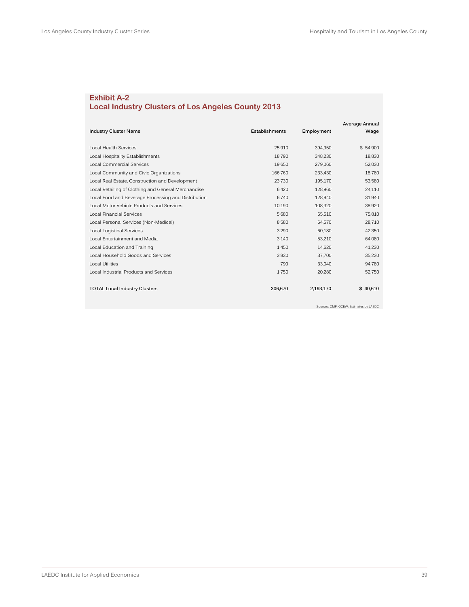## **Exhibit A-2 Local Industry Clusters of Los Angeles County 2013**

|                                                     |                |            | Average Annual |
|-----------------------------------------------------|----------------|------------|----------------|
| <b>Industry Cluster Name</b>                        | Establishments | Employment | Wage           |
|                                                     |                |            |                |
| <b>Local Health Services</b>                        | 25,910         | 394,950    | \$54,900       |
| Local Hospitality Establishments                    | 18,790         | 348,230    | 18,830         |
| <b>Local Commercial Services</b>                    | 19,650         | 279,060    | 52,030         |
| Local Community and Civic Organizations             | 166,760        | 233,430    | 18,780         |
| Local Real Estate, Construction and Development     | 23,730         | 195,170    | 53,580         |
| Local Retailing of Clothing and General Merchandise | 6.420          | 128,960    | 24,110         |
| Local Food and Beverage Processing and Distribution | 6,740          | 128,940    | 31,940         |
| Local Motor Vehicle Products and Services           | 10,190         | 108,320    | 38,920         |
| <b>Local Financial Services</b>                     | 5,680          | 65,510     | 75,810         |
| Local Personal Services (Non-Medical)               | 8,580          | 64,570     | 28,710         |
| <b>Local Logistical Services</b>                    | 3,290          | 60,180     | 42,350         |
| Local Entertainment and Media                       | 3,140          | 53,210     | 64,080         |
| Local Education and Training                        | 1,450          | 14,620     | 41,230         |
| Local Household Goods and Services                  | 3.830          | 37,700     | 35,230         |
| <b>Local Utilities</b>                              | 790            | 33,040     | 94,780         |
| Local Industrial Products and Services              | 1,750          | 20,280     | 52,750         |
|                                                     |                |            |                |
| <b>TOTAL Local Industry Clusters</b>                | 306,670        | 2,193,170  | \$<br>40,610   |
|                                                     |                |            |                |

Sources: CMP; QCEW: Estimates by LAEDC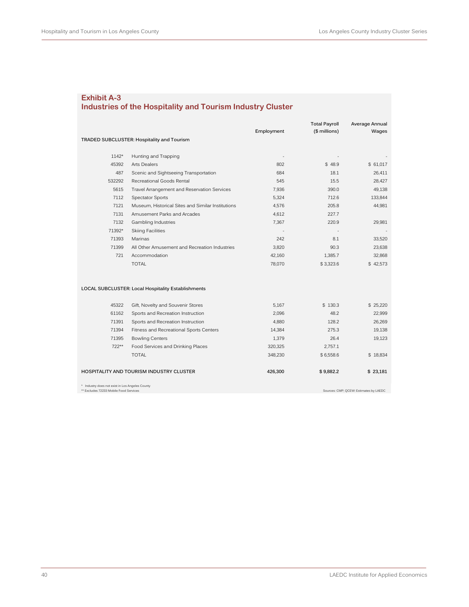## **Industries of the Hospitality and Tourism Industry Cluster**

|                                                                                           |                                                    |            | <b>Total Payroll</b> | Average Annual                         |
|-------------------------------------------------------------------------------------------|----------------------------------------------------|------------|----------------------|----------------------------------------|
|                                                                                           |                                                    | Employment | (\$ millions)        | Wages                                  |
|                                                                                           | TRADED SUBCLUSTER: Hospitality and Tourism         |            |                      |                                        |
|                                                                                           |                                                    |            |                      |                                        |
| $1142*$                                                                                   | Hunting and Trapping                               |            |                      |                                        |
| 45392                                                                                     | <b>Arts Dealers</b>                                | 802        | \$48.9               | \$ 61.017                              |
| 487                                                                                       | Scenic and Sightseeing Transportation              | 684        | 18.1                 | 26,411                                 |
| 532292                                                                                    | Recreational Goods Rental                          | 545        | 15.5                 | 28,427                                 |
| 5615                                                                                      | Travel Arrangement and Reservation Services        | 7,936      | 390.0                | 49,138                                 |
| 7112                                                                                      | <b>Spectator Sports</b>                            | 5,324      | 712.6                | 133,844                                |
| 7121                                                                                      | Museum, Historical Sites and Similar Institutions  | 4,576      | 205.8                | 44,981                                 |
| 7131                                                                                      | Amusement Parks and Arcades                        | 4,612      | 227.7                |                                        |
| 7132                                                                                      | <b>Gambling Industries</b>                         | 7,367      | 220.9                | 29,981                                 |
| 71392*                                                                                    | <b>Skiing Facilities</b>                           |            |                      |                                        |
| 71393                                                                                     | Marinas                                            | 242        | 8.1                  | 33,520                                 |
| 71399                                                                                     | All Other Amusement and Recreation Industries      | 3,820      | 90.3                 | 23,638                                 |
| 721                                                                                       | Accommodation                                      | 42,160     | 1,385.7              | 32,868                                 |
|                                                                                           | <b>TOTAL</b>                                       | 78,070     | \$3,323.6            | \$42,573                               |
|                                                                                           | LOCAL SUBCLUSTER: Local Hospitality Establishments |            |                      |                                        |
| 45322                                                                                     | Gift, Novelty and Souvenir Stores                  | 5,167      | \$130.3              | \$25,220                               |
| 61162                                                                                     | Sports and Recreation Instruction                  | 2,096      | 48.2                 | 22,999                                 |
| 71391                                                                                     | Sports and Recreation Instruction                  | 4,880      | 128.2                | 26,269                                 |
| 71394                                                                                     | Fitness and Recreational Sports Centers            | 14,384     | 275.3                | 19,138                                 |
| 71395                                                                                     | <b>Bowling Centers</b>                             | 1,379      | 26.4                 | 19,123                                 |
| 722**                                                                                     | Food Services and Drinking Places                  | 320,325    | 2,757.1              |                                        |
|                                                                                           | <b>TOTAL</b>                                       | 348,230    | \$6,558.6            | \$18,834                               |
|                                                                                           | HOSPITALITY AND TOURISM INDUSTRY CLUSTER           | 426,300    | \$9,882.2            | \$23,181                               |
| * Industry does not exist in Los Angeles County<br>** Excludes 72233 Mobile Food Services |                                                    |            |                      | Sources: CMP; QCEW: Estimates by LAEDC |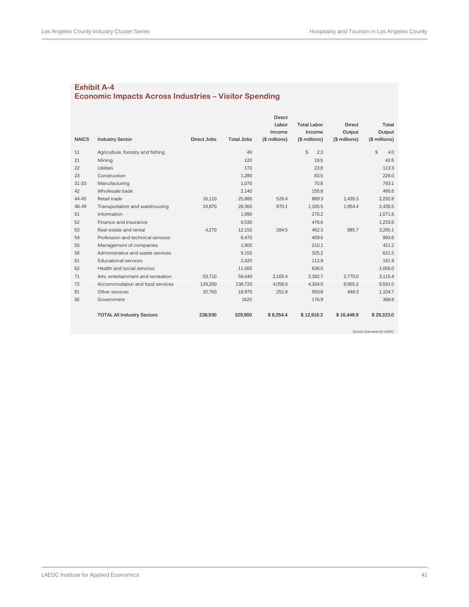## **Exhibit A-4 Economic Impacts Across Industries – Visitor Spending**

|              |                                    |             |                   | <b>Direct</b> |                    |               |               |
|--------------|------------------------------------|-------------|-------------------|---------------|--------------------|---------------|---------------|
|              |                                    |             |                   | Labor         | <b>Total Labor</b> | <b>Direct</b> | Total         |
|              |                                    |             |                   | Income        | Income             | Output        | Output        |
| <b>NAICS</b> | <b>Industry Sector</b>             | Direct Jobs | <b>Total Jobs</b> | (\$ millions) | (\$ millions)      | (\$ millions) | (\$ millions) |
| 11           | Agriculture, forestry and fishing  |             | 40                |               | \$<br>2.3          |               | \$<br>4.0     |
| 21           | Mining                             |             | 120               |               | 19.5               |               | 42.6          |
| 22           | Utilities                          |             | 170               |               | 23.8               |               | 113.3         |
| 23           | Construction                       |             | 1,280             |               | 83.5               |               | 226.0         |
| $31 - 33$    | Manufacturing                      |             | 1,070             |               | 70.8               |               | 793.1         |
| 42           | Wholesale trade                    |             | 2,140             |               | 155.6              |               | 495.6         |
| 44-45        | Retail trade                       | 16.110      | 25,880            | 526.4         | 889.3              | 1.435.3       | 2.292.8       |
| 48-49        | Transportation and warehousing     | 24.870      | 28,360            | 970.1         | 1.165.5            | 1.954.4       | 2.435.5       |
| 51           | Information                        |             | 1,990             |               | 276.2              |               | 1,071.6       |
| 52           | Finance and insurance              |             | 6.530             |               | 478.6              |               | 1.233.6       |
| 53           | Real estate and rental             | 4.270       | 12.150            | 284.5         | 462.3              | 885.7         | 3.265.1       |
| 54           | Profession and technical services  |             | 6.470             |               | 409.6              |               | 993.6         |
| 55           | Management of companies            |             | 1,900             |               | 210.1              |               | 421.2         |
| 56           | Administrative and waste services  |             | 9,150             |               | 325.2              |               | 621.5         |
| 61           | <b>Educational services</b>        |             | 2.420             |               | 112.9              |               | 181.9         |
| 62           | Health and social services         |             | 11,560            |               | 636.0              |               | 1,056.0       |
| 71           | Arts, entertainment and recreation | 53.710      | 59.440            | 2.165.4       | 2.392.7            | 2.770.0       | 3.115.4       |
| 72           | Accommodation and food services    | 129,200     | 138,720           | 4,056.0       | 4,334.0            | 8,955.2       | 9,591.0       |
| 81           | Other services                     | 10,760      | 18,970            | 251.9         | 593.8              | 448.3         | 1,104.7       |
| 92           | Government                         |             | 1620              |               | 176.9              |               | 368.8         |
|              | <b>TOTAL All Industry Sectors</b>  | 238,930     | 329.900           | \$8.254.4     | \$12,916.2         | \$16.448.9    | \$29,323.0    |

Source: Estimates by LAEDC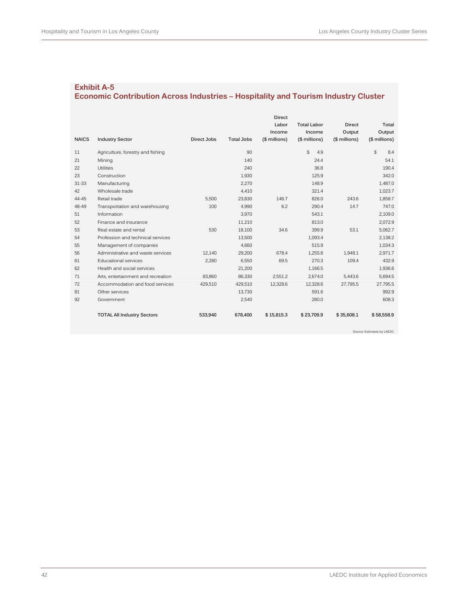## **Economic Contribution Across Industries – Hospitality and Tourism Industry Cluster**

|              |                                    |             |                   | <b>Direct</b> |                    |               |                     |
|--------------|------------------------------------|-------------|-------------------|---------------|--------------------|---------------|---------------------|
|              |                                    |             |                   | Labor         | <b>Total Labor</b> | <b>Direct</b> | Total               |
|              |                                    |             |                   | Income        | Income             | Output        | Output              |
| <b>NAICS</b> | <b>Industry Sector</b>             | Direct Jobs | <b>Total Jobs</b> | (\$ millions) | (\$ millions)      | (\$ millions) | (\$ millions)       |
| 11           | Agriculture, forestry and fishing  |             | 90                |               | \$<br>4.9          |               | $\mathbb{S}$<br>8.4 |
| 21           | Mining                             |             | 140               |               | 24.4               |               | 54.1                |
| 22           | Utilities                          |             | 240               |               | 36.8               |               | 190.4               |
| 23           | Construction                       |             | 1,930             |               | 125.9              |               | 342.0               |
| $31 - 33$    | Manufacturing                      |             | 2,270             |               | 148.9              |               | 1.487.0             |
| 42           | Wholesale trade                    |             | 4,410             |               | 321.4              |               | 1,023.7             |
| 44-45        | Retail trade                       | 5.500       | 23,830            | 146.7         | 826.0              | 243.6         | 1,858.7             |
| 48-49        | Transportation and warehousing     | 100         | 4,990             | 6.2           | 290.4              | 14.7          | 747.0               |
| 51           | Information                        |             | 3,970             |               | 543.1              |               | 2,109.0             |
| 52           | Finance and insurance              |             | 11,210            |               | 813.0              |               | 2,072.9             |
| 53           | Real estate and rental             | 530         | 18.100            | 34.6          | 399.9              | 53.1          | 5.062.7             |
| 54           | Profession and technical services  |             | 13,500            |               | 1,093.4            |               | 2,138.2             |
| 55           | Management of companies            |             | 4.660             |               | 515.9              |               | 1.034.3             |
| 56           | Administrative and waste services  | 12.140      | 29.200            | 678.4         | 1.255.8            | 1.948.1       | 2.971.7             |
| 61           | <b>Educational services</b>        | 2,280       | 6,550             | 69.5          | 270.3              | 109.4         | 432.9               |
| 62           | Health and social services         |             | 21.200            |               | 1.166.5            |               | 1,936.6             |
| 71           | Arts, entertainment and recreation | 83.860      | 86,330            | 2.551.2       | 2.674.0            | 5.443.6       | 5,694.5             |
| 72           | Accommodation and food services    | 429.510     | 429,510           | 12,328.6      | 12.328.6           | 27.795.5      | 27.795.5            |
| 81           | Other services                     |             | 13,730            |               | 591.6              |               | 992.9               |
| 92           | Government                         |             | 2,540             |               | 280.0              |               | 608.3               |
|              | <b>TOTAL All Industry Sectors</b>  | 533.940     | 678,400           | \$15.815.3    | \$23.709.9         | \$35,608.1    | \$58,558.9          |

Source: Estimates by LAEDC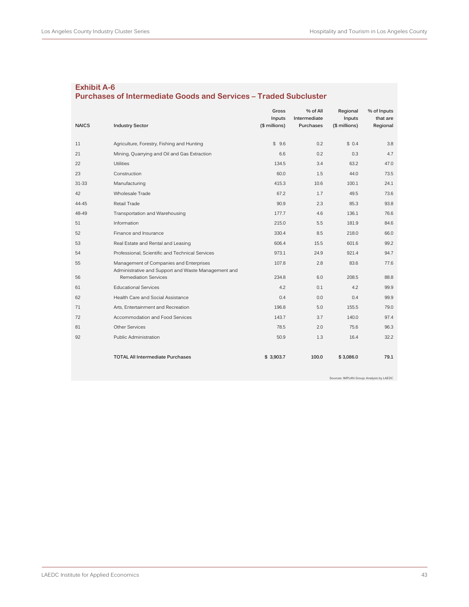## **Exhibit A-6 Purchases of Intermediate Goods and Services – Traded Subcluster**

|              |                                                                                                | Gross<br>Inputs | % of All<br>Intermediate | Regional<br>Inputs | % of Inputs<br>that are |
|--------------|------------------------------------------------------------------------------------------------|-----------------|--------------------------|--------------------|-------------------------|
| <b>NAICS</b> | <b>Industry Sector</b>                                                                         | (\$ millions)   | Purchases                | (\$ millions)      | Regional                |
| 11           | Agriculture, Forestry, Fishing and Hunting                                                     | \$9.6           | 0.2                      | \$0.4              | 3.8                     |
| 21           | Mining, Quarrying and Oil and Gas Extraction                                                   | 6.6             | 0.2                      | 0.3                | 4.7                     |
| 22           | Utilities                                                                                      | 134.5           | 3.4                      | 63.2               | 47.0                    |
| 23           | Construction                                                                                   | 60.0            | 1.5                      | 44.0               | 73.5                    |
| 31-33        | Manufacturing                                                                                  | 415.3           | 10.6                     | 100.1              | 24.1                    |
| 42           | Wholesale Trade                                                                                | 67.2            | 1.7                      | 49.5               | 73.6                    |
| 44-45        | Retail Trade                                                                                   | 90.9            | 2.3                      | 85.3               | 93.8                    |
| 48-49        | Transportation and Warehousing                                                                 | 177.7           | 4.6                      | 136.1              | 76.6                    |
| 51           | Information                                                                                    | 215.0           | 5.5                      | 181.9              | 84.6                    |
| 52           | Finance and Insurance                                                                          | 330.4           | 8.5                      | 218.0              | 66.0                    |
| 53           | Real Estate and Rental and Leasing                                                             | 606.4           | 15.5                     | 601.6              | 99.2                    |
| 54           | Professional, Scientific and Technical Services                                                | 973.1           | 24.9                     | 921.4              | 94.7                    |
| 55           | Management of Companies and Enterprises<br>Administrative and Support and Waste Management and | 107.8           | 2.8                      | 83.6               | 77.6                    |
| 56           | <b>Remediation Services</b>                                                                    | 234.8           | 6.0                      | 208.5              | 88.8                    |
| 61           | <b>Educational Services</b>                                                                    | 4.2             | 0.1                      | 4.2                | 99.9                    |
| 62           | Health Care and Social Assistance                                                              | 0.4             | 0.0                      | 0.4                | 99.9                    |
| 71           | Arts, Entertainment and Recreation                                                             | 196.8           | 5.0                      | 155.5              | 79.0                    |
| 72           | Accommodation and Food Services                                                                | 143.7           | 3.7                      | 140.0              | 97.4                    |
| 81           | <b>Other Services</b>                                                                          | 78.5            | 2.0                      | 75.6               | 96.3                    |
| 92           | Public Administration                                                                          | 50.9            | 1.3                      | 16.4               | 32.2                    |
|              | <b>TOTAL All Intermediate Purchases</b>                                                        | \$3,903.7       | 100.0                    | \$3,086.0          | 79.1                    |

Sources: IMPLAN Group; Analysis by LAEDC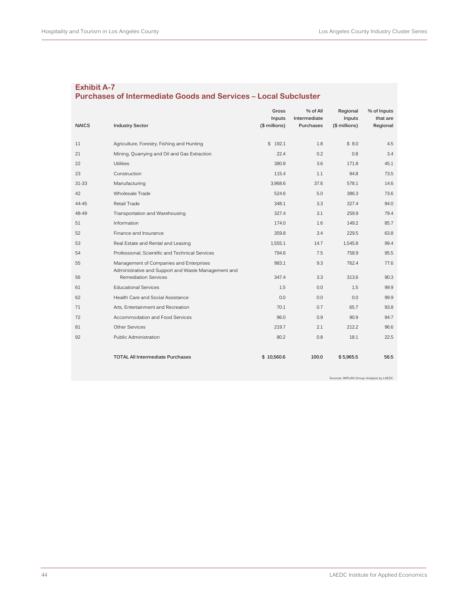## **Exhibit A-7 Purchases of Intermediate Goods and Services – Local Subcluster**

|              |                                                                                                | Gross<br>Inputs | % of All<br>Intermediate | Regional<br>Inputs | % of Inputs<br>that are |
|--------------|------------------------------------------------------------------------------------------------|-----------------|--------------------------|--------------------|-------------------------|
| <b>NAICS</b> | <b>Industry Sector</b>                                                                         | (\$ millions)   | Purchases                | (\$ millions)      | Regional                |
| 11           | Agriculture, Forestry, Fishing and Hunting                                                     | \$192.1         | 1.8                      | \$8.0              | 4.5                     |
| 21           | Mining, Quarrying and Oil and Gas Extraction                                                   | 22.4            | 0.2                      | 0.8                | 3.4                     |
| 22           | Utilities                                                                                      | 380.8           | 3.6                      | 171.8              | 45.1                    |
| 23           | Construction                                                                                   | 115.4           | 1.1                      | 84.8               | 73.5                    |
| $31 - 33$    | Manufacturing                                                                                  | 3,968.6         | 37.6                     | 578.1              | 14.6                    |
| 42           | Wholesale Trade                                                                                | 524.6           | 5.0                      | 386.3              | 73.6                    |
| 44-45        | Retail Trade                                                                                   | 348.1           | 3.3                      | 327.4              | 94.0                    |
| 48-49        | Transportation and Warehousing                                                                 | 327.4           | 3.1                      | 259.9              | 79.4                    |
| 51           | Information                                                                                    | 174.0           | 1.6                      | 149.2              | 85.7                    |
| 52           | Finance and Insurance                                                                          | 359.8           | 3.4                      | 229.5              | 63.8                    |
| 53           | Real Estate and Rental and Leasing                                                             | 1,555.1         | 14.7                     | 1,545.8            | 99.4                    |
| 54           | Professional, Scientific and Technical Services                                                | 794.6           | 7.5                      | 758.9              | 95.5                    |
| 55           | Management of Companies and Enterprises<br>Administrative and Support and Waste Management and | 983.1           | 9.3                      | 762.4              | 77.6                    |
| 56           | <b>Remediation Services</b>                                                                    | 347.4           | 3.3                      | 313.6              | 90.3                    |
| 61           | <b>Educational Services</b>                                                                    | 1.5             | 0.0                      | 1.5                | 99.9                    |
| 62           | Health Care and Social Assistance                                                              | 0.0             | 0.0                      | 0.0                | 99.9                    |
| 71           | Arts, Entertainment and Recreation                                                             | 70.1            | 0.7                      | 65.7               | 93.8                    |
| 72           | Accommodation and Food Services                                                                | 96.0            | 0.9                      | 90.9               | 94.7                    |
| 81           | <b>Other Services</b>                                                                          | 219.7           | 2.1                      | 212.2              | 96.6                    |
| 92           | Public Administration                                                                          | 80.2            | 0.8                      | 18.1               | 22.5                    |
|              | <b>TOTAL All Intermediate Purchases</b>                                                        | \$10,560.6      | 100.0                    | \$5,965.5          | 56.5                    |

Sources: IMPLAN Group; Analysis by LAEDC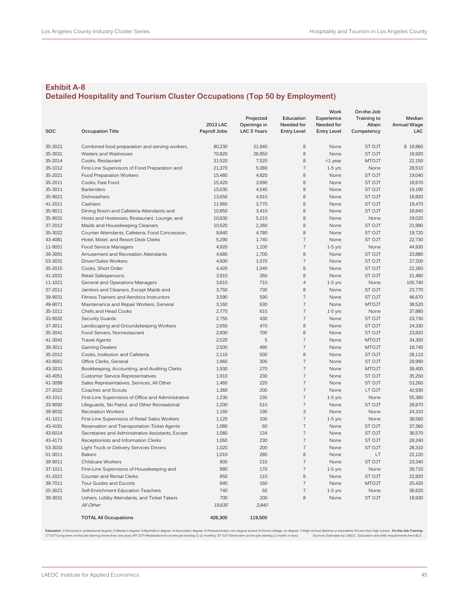## **Exhibit A-8 Detailed Hospitality and Tourism Cluster Occupations (Top 50 by Employment)**

|             |                                                     |              |                    |                          | Work               | On-the-Job    |             |
|-------------|-----------------------------------------------------|--------------|--------------------|--------------------------|--------------------|---------------|-------------|
|             |                                                     |              | Projected          | Education                | Experience         | Training to   | Median      |
|             |                                                     | 2013 LAC     | Openings in        | Needed for               | Needed for         | Attain        | Annual Wage |
| SOC         | <b>Occupation Title</b>                             | Payroll Jobs | <b>LAC 5 Years</b> | <b>Entry Level</b>       | <b>Entry Level</b> | Competency    | LAC         |
| 35-3021     | Combined food preparation and serving workers,      | 80,230       | 21,840             | 8                        | None               | ST OJT        | \$18,860    |
| 35-3031     | Waiters and Waitresses                              | 70,820       | 26,950             | 8                        | None               | ST OJT        | 18,920      |
| 35-2014     | Cooks, Restaurant                                   | 31,520       | 7,520              | 8                        | $<$ 1 year         | <b>MTOJT</b>  | 22,150      |
| 35-1012     | First-Line Supervisors of Food Preparation and      | 21,370       | 5,080              | $\overline{7}$           | $1-5$ yrs          | None          | 28,510      |
| 35-2021     | Food Preparation Workers                            | 15,480       | 4,820              | 8                        | None               | ST OJT        | 19,040      |
| 35-2011     | Cooks, Fast Food                                    | 15,420       | 3,690              | 8                        | None               | ST OJT        | 18,670      |
| 35-3011     | <b>Bartenders</b>                                   | 15,030       | 4,540              | 8                        | None               | ST OJT        | 19,190      |
| 35-9021     | Dishwashers                                         | 13,650       | 4,910              | 8                        | None               | ST OJT        | 18,820      |
| 41-2011     | Cashiers                                            | 11,960       | 3,770              | 8                        | None               | <b>ST OJT</b> | 19,470      |
| 35-9011     | Dining Room and Cafeteria Attendants and            | 10,850       | 3,410              | 8                        | None               | ST OJT        | 18,840      |
| 35-9031     | Hosts and Hostesses, Restaurant, Lounge, and        | 10,830       | 5,210              | 8                        | None               | None          | 19,020      |
| 37-2012     | Maids and Housekeeping Cleaners                     | 10,620       | 2,260              | 8                        | None               | ST OJT        | 21,990      |
| 35-3022     | Counter Attendants, Cafeteria, Food Concession,     | 9,840        | 4,780              | 8                        | None               | ST OJT        | 19,720      |
| 43-4081     | Hotel, Motel, and Resort Desk Clerks                | 5,290        | 1,740              | $\overline{7}$           | None               | <b>ST OJT</b> | 22,730      |
| 11-9051     | Food Service Managers                               | 4,920        | 1,100              | $\overline{\mathcal{I}}$ | $1-5$ yrs          | None          | 44,930      |
| 39-3091     | Amusement and Recreation Attendants                 | 4,680        | 1,700              | $\, 8$                   | None               | ST OJT        | 23,880      |
| 53-3031     | Driver/Sales Workers                                | 4,600        | 1,070              | $\overline{7}$           | None               | ST OJT        | 27,200      |
| 35-2015     | Cooks, Short Order                                  | 4,420        | 1,040              | 8                        | None               | ST OJT        | 22,260      |
| 41-2031     | Retail Salespersons                                 | 3,910        | 260                | 8                        | None               | ST OJT        | 21,480      |
| 11-1021     | General and Operations Managers                     | 3,810        | 710                | $\overline{4}$           | $1-5$ yrs          | None          | 105,740     |
| 37-2011     | Janitors and Cleaners, Except Maids and             | 3,750        | 730                | 8                        | None               | ST OJT        | 23,770      |
| 39-9031     | Fitness Trainers and Aerobics Instructors           | 3,590        | 590                | $\overline{7}$           | None               | ST OJT        | 46,670      |
| 49-9071     |                                                     |              | 630                | $\overline{\mathcal{I}}$ | None               |               | 38,520      |
|             | Maintenance and Repair Workers, General             | 3,160        |                    | $\overline{7}$           |                    | <b>MTOJT</b>  |             |
| 35-1011     | Chefs and Head Cooks                                | 2,770        | 610                | $\overline{7}$           | $1-5$ yrs          | None          | 37,880      |
| 33-9032     | Security Guards                                     | 2,750        | 430                |                          | None               | ST OJT        | 23,730      |
| 37-3011     | Landscaping and Groundskeeping Workers              | 2,650        | 470                | 8<br>8                   | None               | ST OJT        | 24,330      |
| 35-3041     | Food Servers, Nonrestaurant                         | 2,600        | 700                | $\overline{\mathcal{I}}$ | None               | ST OJT        | 23,820      |
| 41-3041     | <b>Travel Agents</b>                                | 2,520        | 5                  |                          | None               | <b>MTOJT</b>  | 34,350      |
| 39-3011     | <b>Gaming Dealers</b>                               | 2,500        | 490                | $\sqrt{7}$               | None               | <b>MTOJT</b>  | 18,740      |
| 35-2012     | Cooks, Institution and Cafeteria                    | 2,110        | 500                | 8                        | None               | ST OJT        | 28,110      |
| 43-9061     | Office Clerks, General                              | 1,960        | 300                | $\overline{7}$           | None               | ST OJT        | 29,990      |
| 43-3031     | Bookkeeping, Accounting, and Auditing Clerks        | 1,930        | 270                | $\overline{\mathcal{I}}$ | None               | <b>MTOJT</b>  | 39,400      |
| 43-4051     | <b>Customer Service Representatives</b>             | 1,910        | 230                | $\overline{\mathcal{I}}$ | None               | ST OJT        | 35,250      |
| 41-3099     | Sales Representatives, Services, All Other          | 1,460        | 220                | $\overline{7}$           | None               | ST OJT        | 53,260      |
| 27-2022     | Coaches and Scouts                                  | 1,360        | 200                | $\overline{7}$           | None               | LT OJT        | 42,930      |
| 43-1011     | First-Line Supervisors of Office and Administrative | 1,230        | 230                | $\overline{\mathcal{I}}$ | $1-5$ yrs          | None          | 55,380      |
| 33-9092     | Lifeguards, Ski Patrol, and Other Recreational      | 1,200        | 510                | $\overline{7}$           | None               | ST OJT        | 28,870      |
| 39-9032     | <b>Recreation Workers</b>                           | 1,160        | 190                | 3                        | None               | None          | 24,310      |
| 41-1011     | First-Line Supervisors of Retail Sales Workers      | 1,120        | 100                | $\overline{7}$           | $1-5$ yrs          | None          | 38,560      |
| 43-4181     | Reservation and Transportation Ticket Agents        | 1,080        | 60                 | $\overline{7}$           | None               | ST OJT        | 37,360      |
| 43-6014     | Secretaries and Administrative Assistants, Except   | 1,080        | 134                | $\overline{7}$           | None               | ST OJT        | 36,570      |
| 43-4171     | Receptionists and Information Clerks                | 1,060        | 230                | $\overline{7}$           | None               | ST OJT        | 28,240      |
| 53-3033     | Light Truck or Delivery Services Drivers            | 1,020        | 200                | $\overline{7}$           | None               | ST OJT        | 28,310      |
| $51 - 3011$ | <b>Bakers</b>                                       | 1,010        | 280                | $\, 8$                   | None               | LT            | 22,120      |
| 39-9011     | <b>Childcare Workers</b>                            | 900          | 210                | $\overline{7}$           | None               | ST OJT        | 23,340      |
| 37-1011     | First-Line Supervisors of Housekeeping and          | 880          | 170                | $\overline{7}$           | $1-5$ yrs          | None          | 39,710      |
| 41-2021     | Counter and Rental Clerks                           | 850          | 110                | 8                        | None               | ST OJT        | 22,820      |
| 39-7011     | Tour Guides and Escorts                             | 840          | 160                | $\overline{7}$           | None               | <b>MTOJT</b>  | 25,420      |
| 25-3021     | Self-Enrichment Education Teachers                  | 740          | 50                 | $\sqrt{7}$               | $1-5$ yrs          | None          | 36,620      |
| 39-3031     | Ushers, Lobby Attendants, and Ticket Takers         | 700          | 100                | 8                        | None               | ST OJT        | 18,930      |
|             | All Other                                           | 19,630       | 3,840              |                          |                    |               |             |
|             | <b>TOTAL All Occupations</b>                        | 426,300      | 119,500            |                          |                    |               |             |

Education 1=Doctoral or professional degree; 2=Master's degree; 3=Bachelor's degree; 4=Associate's degree; 5=Postsecordary non-degree wand; 6=Some college, no degree; 7=High school diploma or equivalent; 8=Less thanking t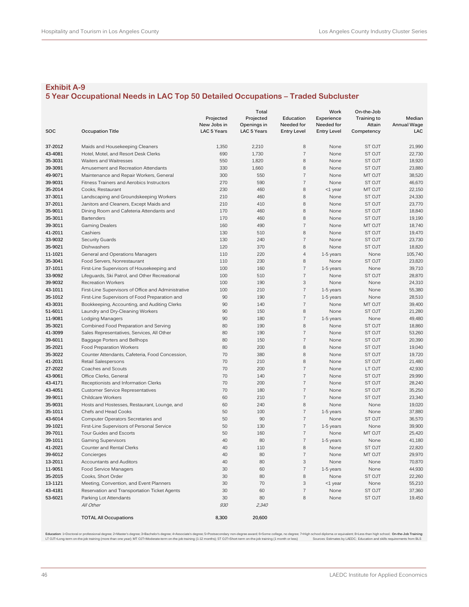## **5 Year Occupational Needs in LAC Top 50 Detailed Occupations – Traded Subcluster**

|         |                                                     |             | Total              |                    | Work               | On-the-Job    |                    |
|---------|-----------------------------------------------------|-------------|--------------------|--------------------|--------------------|---------------|--------------------|
|         |                                                     | Projected   | Projected          | Education          | Experience         | Training to   | Median             |
|         |                                                     | New Jobs in | Openings in        | Needed for         | Needed for         | Attain        | <b>Annual Wage</b> |
| SOC     | <b>Occupation Title</b>                             | LAC 5 Years | <b>LAC 5 Years</b> | <b>Entry Level</b> | <b>Entry Level</b> | Competency    | LAC                |
|         |                                                     |             |                    |                    |                    |               |                    |
| 37-2012 | Maids and Housekeeping Cleaners                     | 1,350       | 2,210              | 8                  | None               | ST OJT        | 21,990             |
| 43-4081 | Hotel, Motel, and Resort Desk Clerks                | 690         | 1,730              | $\overline{7}$     | None               | <b>ST OJT</b> | 22,730             |
| 35-3031 | Waiters and Waitresses                              | 550         | 1,820              | 8                  | None               | ST OJT        | 18,920             |
| 39-3091 | Amusement and Recreation Attendants                 | 330         | 1,660              | 8                  | None               | ST OJT        | 23,880             |
| 49-9071 | Maintenance and Repair Workers, General             | 300         | 550                | $\overline{7}$     | None               | MT OJT        | 38,520             |
| 39-9031 | Fitness Trainers and Aerobics Instructors           | 270         | 590                | $\overline{7}$     | None               | ST OJT        | 46,670             |
| 35-2014 | Cooks, Restaurant                                   | 230         | 460                | 8                  | <1 year            | MT OJT        | 22,150             |
| 37-3011 | Landscaping and Groundskeeping Workers              | 210         | 460                | 8                  | None               | ST OJT        | 24,330             |
| 37-2011 | Janitors and Cleaners, Except Maids and             | 210         | 410                | 8                  | None               | ST OJT        | 23,770             |
| 35-9011 | Dining Room and Cafeteria Attendants and            | 170         | 460                | 8                  | None               | ST OJT        | 18,840             |
| 35-3011 | <b>Bartenders</b>                                   | 170         | 460                | 8                  | None               | ST OJT        | 19,190             |
| 39-3011 | <b>Gaming Dealers</b>                               | 160         | 490                | $\overline{7}$     | None               | MT OJT        | 18,740             |
| 41-2011 | Cashiers                                            | 130         | 510                | 8                  | None               | ST OJT        | 19,470             |
| 33-9032 | <b>Security Guards</b>                              | 130         | 240                | $\overline{7}$     | None               | ST OJT        | 23,730             |
| 35-9021 | Dishwashers                                         | 120         | 370                | 8                  | None               | <b>ST OJT</b> | 18,820             |
| 11-1021 | General and Operations Managers                     | 110         | 220                | $\overline{4}$     | 1-5 years          | None          | 105,740            |
| 35-3041 | Food Servers, Nonrestaurant                         | 110         | 230                | 8                  | None               | ST OJT        | 23,820             |
| 37-1011 | First-Line Supervisors of Housekeeping and          | 100         | 160                | $\overline{7}$     | 1-5 years          | None          | 39,710             |
| 33-9092 | Lifeguards, Ski Patrol, and Other Recreational      | 100         | 510                | $\overline{7}$     | None               | <b>ST OJT</b> | 28,870             |
| 39-9032 | <b>Recreation Workers</b>                           | 100         | 190                | 3                  | None               | None          | 24,310             |
| 43-1011 |                                                     | 100         | 210                | $\sqrt{ }$         | 1-5 years          | None          | 55,380             |
| 35-1012 | First-Line Supervisors of Office and Administrative | 90          | 190                | $\overline{7}$     |                    |               |                    |
| 43-3031 | First-Line Supervisors of Food Preparation and      |             |                    | $\overline{7}$     | 1-5 years          | None          | 28,510             |
|         | Bookkeeping, Accounting, and Auditing Clerks        | 90          | 140                |                    | None               | MT OJT        | 39,400             |
| 51-6011 | Laundry and Dry-Cleaning Workers                    | 90          | 150                | 8                  | None               | ST OJT        | 21,280             |
| 11-9081 | Lodging Managers                                    | 90          | 180                | $\overline{7}$     | 1-5 years          | None          | 49,480             |
| 35-3021 | Combined Food Preparation and Serving               | 80          | 190                | 8                  | None               | ST OJT        | 18,860             |
| 41-3099 | Sales Representatives, Services, All Other          | 80          | 190                | $\overline{7}$     | None               | ST OJT        | 53,260             |
| 39-6011 | Baggage Porters and Bellhops                        | 80          | 150                | $\overline{7}$     | None               | <b>ST OJT</b> | 20,390             |
| 35-2021 | Food Preparation Workers                            | 80          | 200                | 8                  | None               | ST OJT        | 19,040             |
| 35-3022 | Counter Attendants, Cafeteria, Food Concession,     | 70          | 380                | 8                  | None               | ST OJT        | 19,720             |
| 41-2031 | Retail Salespersons                                 | 70          | 210                | 8                  | None               | ST OJT        | 21,480             |
| 27-2022 | Coaches and Scouts                                  | 70          | 200                | $\overline{7}$     | None               | LT OJT        | 42,930             |
| 43-9061 | Office Clerks, General                              | 70          | 140                | $\overline{7}$     | None               | ST OJT        | 29,990             |
| 43-4171 | Receptionists and Information Clerks                | 70          | 200                | $\overline{7}$     | None               | ST OJT        | 28,240             |
| 43-4051 | <b>Customer Service Representatives</b>             | 70          | 180                | $\overline{7}$     | None               | ST OJT        | 35,250             |
| 39-9011 | <b>Childcare Workers</b>                            | 60          | 210                | $\overline{7}$     | None               | <b>ST OJT</b> | 23,340             |
| 35-9031 | Hosts and Hostesses, Restaurant, Lounge, and        | 60          | 240                | 8                  | None               | None          | 19,020             |
| 35-1011 | Chefs and Head Cooks                                | 50          | 100                | $\sqrt{ }$         | 1-5 years          | None          | 37,880             |
| 43-6014 | Computer Operators Secretaries and                  | 50          | 90                 | $\overline{7}$     | None               | ST OJT        | 36,570             |
| 39-1021 | First-Line Supervisors of Personal Service          | 50          | 130                | $\overline{7}$     | 1-5 years          | None          | 39,900             |
| 39-7011 | Tour Guides and Escorts                             | 50          | 160                | $\overline{7}$     | None               | MT OJT        | 25,420             |
| 39-1011 | <b>Gaming Supervisors</b>                           | 40          | 80                 | $\overline{7}$     | 1-5 years          | None          | 41,180             |
| 41-2021 | Counter and Rental Clerks                           | 40          | 110                | 8                  | None               | ST OJT        | 22,820             |
| 39-6012 | Concierges                                          | 40          | 80                 | $\overline{7}$     | None               | MT OJT        | 29,970             |
| 13-2011 | Accountants and Auditors                            | 40          | 80                 | 3                  | None               | None          | 70,870             |
| 11-9051 | Food Service Managers                               | 30          | 60                 | $\overline{7}$     | 1-5 years          | None          | 44,930             |
| 35-2015 | Cooks, Short Order                                  | 30          | 80                 | 8                  | None               | ST OJT        | 22,260             |
| 13-1121 | Meeting, Convention, and Event Planners             | 30          | 70                 | 3                  | $<$ 1 year         | None          | 55,210             |
| 43-4181 | Reservation and Transportation Ticket Agents        | 30          | 60                 | $\overline{7}$     | None               | ST OJT        | 37,360             |
| 53-6021 | Parking Lot Attendants                              | 30          | 80                 | 8                  | None               | ST OJT        | 19,450             |
|         | All Other                                           | 930         | 2,340              |                    |                    |               |                    |
|         |                                                     |             |                    |                    |                    |               |                    |
|         | <b>TOTAL All Occupations</b>                        | 8,300       | 20,600             |                    |                    |               |                    |

Education 1=Doctoralor protessional degree; 2=Macers of a secondary and the secondary of the secondary on Associate's degree branch (=Schme college, no degree; 7=High school diplomate a require and states by LAEDC; Educati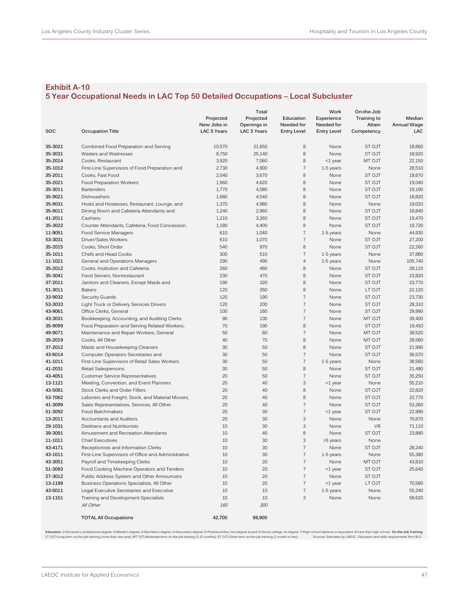## **5 Year Occupational Needs in LAC Top 50 Detailed Occupations – Local Subcluster**

|         |                                                     |                    | Total              |                    | Work               | On-the-Job    |                    |
|---------|-----------------------------------------------------|--------------------|--------------------|--------------------|--------------------|---------------|--------------------|
|         |                                                     | Projected          | Projected          | Education          | Experience         | Training to   | Median             |
|         |                                                     | New Jobs in        | Openings in        | Needed for         | Needed for         | Attain        | <b>Annual Wage</b> |
| SOC     | <b>Occupation Title</b>                             | <b>LAC 5 Years</b> | <b>LAC 5 Years</b> | <b>Entry Level</b> | <b>Entry Level</b> | Competency    | LAC                |
|         |                                                     |                    |                    |                    |                    |               |                    |
| 35-3021 | Combined Food Preparation and Serving               | 10,570             | 21,650             | 8                  | None               | <b>ST OJT</b> | 18,860             |
| 35-3031 | Waiters and Waitresses                              | 8,750              | 25,140             | 8                  | None               | ST OJT        | 18,920             |
| 35-2014 | Cooks, Restaurant                                   | 3,920              | 7,060              | 8                  | <1 year            | MT OJT        | 22,150             |
| 35-1012 | First-Line Supervisors of Food Preparation and      | 2,730              | 4,900              | $\overline{7}$     | 1-5 years          | None          | 28,510             |
| 35-2011 | Cooks, Fast Food                                    | 2,040              | 3,670              | 8                  | None               | ST OJT        | 18,670             |
| 35-2021 | Food Preparation Workers                            | 1,960              | 4,620              | 8                  | None               | ST OJT        | 19,040             |
| 35-3011 | <b>Bartenders</b>                                   | 1,770              | 4,080              | 8                  | None               | ST OJT        | 19,190             |
| 35-9021 | Dishwashers                                         | 1,680              | 4,540              | 8                  | None               | ST OJT        | 18,820             |
| 35-9031 | Hosts and Hostesses, Restaurant, Lounge, and        | 1,370              | 4,980              | 8                  | None               | None          | 19.020             |
| 35-9011 | Dining Room and Cafeteria Attendants and            | 1,240              | 2,960              | 8                  | None               | ST OJT        | 18,840             |
| 41-2011 | Cashiers                                            | 1,210              | 3,260              | 8                  | None               | ST OJT        | 19,470             |
| 35-3022 | Counter Attendants, Cafeteria, Food Concession,     | 1,180              | 4,400              | 8                  | None               | ST OJT        | 19,720             |
| 11-9051 | Food Service Managers                               | 610                | 1,040              | $\overline{7}$     | $1-5$ years        | None          | 44,930             |
| 53-3031 | Driver/Sales Workers                                | 610                | 1,070              | $\overline{7}$     | None               | <b>ST OJT</b> | 27,200             |
| 35-2015 | Cooks, Short Order                                  | 540                | 970                | 8                  | None               | ST OJT        | 22,260             |
| 35-1011 | Chefs and Head Cooks                                | 300                | 510                | $\overline{7}$     | 1-5 years          | None          | 37,880             |
| 11-1021 | General and Operations Managers                     | 290                | 490                | $\overline{4}$     | 1-5 years          | None          | 105,740            |
| 35-2012 | Cooks, Institution and Cafeteria                    | 260                | 460                | 8                  | None               | <b>ST OJT</b> | 28,110             |
| 35-3041 | Food Servers, Nonrestaurant                         | 230                | 470                | 8                  | None               | ST OJT        | 23,820             |
| 37-2011 | Janitors and Cleaners, Except Maids and             | 190                | 320                | 8                  | None               | ST OJT        | 23,770             |
| 51-3011 | <b>Bakers</b>                                       | 120                | 260                | 8                  | None               | LT OJT        | 22,120             |
| 33-9032 | <b>Security Guards</b>                              | 120                | 190                | $\overline{7}$     | None               | <b>ST OJT</b> | 23,730             |
| 53-3033 | Light Truck or Delivery Services Drivers            | 120                | 200                | $\overline{7}$     | None               | ST OJT        | 28,310             |
| 43-9061 | Office Clerks, General                              | 100                | 160                | $\overline{7}$     | None               | ST OJT        | 29,990             |
| 43-3031 | Bookkeeping, Accounting, and Auditing Clerks        | 90                 | 130                | $\overline{7}$     | None               | MT OJT        | 39,400             |
| 35-9099 | Food Preparation and Serving Related Workers,       | 70                 | 190                | 8                  | None               | ST OJT        | 19.450             |
| 49-9071 | Maintenance and Repair Workers, General             | 50                 | 80                 | $\overline{7}$     | None               | MT OJT        | 38,520             |
| 35-2019 | Cooks, All Other                                    | 40                 | 70                 | 8                  | None               | MT OJT        | 28,560             |
| 37-2012 | Maids and Housekeeping Cleaners                     | 30                 | 50                 | 8                  | None               | ST OJT        | 21,990             |
| 43-6014 | Computer Operators Secretaries and                  | 30                 | 50                 | $\overline{7}$     | None               | ST OJT        | 36,570             |
| 41-1011 | First-Line Supervisors of Retail Sales Workers      | 30                 | 50                 | $\overline{7}$     | 1-5 years          | None          | 38,560             |
| 41-2031 | Retail Salespersons                                 | 30                 | 50                 | 8                  | None               | ST OJT        | 21,480             |
| 43-4051 | <b>Customer Service Representatives</b>             | 20                 | 50                 | $\overline{7}$     | None               | ST OJT        | 35,250             |
| 13-1121 | Meeting, Convention, and Event Planners             | 20                 | 40                 | 3                  |                    |               | 55,210             |
| 43-5081 |                                                     | 20                 | 40                 | 8                  | $<$ 1 year<br>None | None          | 22,820             |
| 53-7062 | Stock Clerks and Order Fillers                      | 20                 | 40                 | 8                  |                    | ST OJT        | 22,770             |
|         | Laborers and Freight, Stock, and Material Movers,   |                    |                    | $\overline{7}$     | None               | ST OJT        |                    |
| 41-3099 | Sales Representatives, Services, All Other          | 20                 | 40                 |                    | None               | ST OJT        | 53,260             |
| 51-3092 | Food Batchmakers                                    | 20                 | 30                 | $\overline{7}$     | <1 year            | ST OJT        | 22,990             |
| 13-2011 | Accountants and Auditors                            | 20                 | 30                 | 3                  | None               | None          | 70,870             |
| 29-1031 | Dietitians and Nutritionists                        | 10                 | 30                 | 3                  | None               | I/R           | 71,110             |
| 39-3091 | Amusement and Recreation Attendants                 | 10                 | 40                 | 8                  | None               | ST OJT        | 23,880             |
| 11-1011 | <b>Chief Executives</b>                             | 10                 | 30                 | 3                  | >5 years           | None          |                    |
| 43-4171 | Receptionists and Information Clerks                | 10                 | 30                 | $\overline{7}$     | None               | ST OJT        | 28,240             |
| 43-1011 | First-Line Supervisors of Office and Administrative | 10                 | 30                 |                    | 1-5 years          | None          | 55,380             |
| 43-3051 | Payroll and Timekeeping Clerks                      | 10                 | 20                 | $\boldsymbol{7}$   | None               | MT OJT        | 43,810             |
| 51-3093 | Food Cooking Machine Operators and Tenders          | 10                 | 20                 | $\overline{7}$     | $<$ 1 year         | ST OJT        | 25,640             |
| 27-3012 | Public Address System and Other Announcers          | 10                 | 20                 | $\sqrt{7}$         | None               | ST OJT        |                    |
| 13-1199 | Business Operations Specialists, All Other          | 10                 | 20                 | $\sqrt{7}$         | $<$ 1 year         | LT OJT        | 70,580             |
| 43-6011 | Legal Executive Secretaries and Executive           | 10                 | 10                 | $\sqrt{7}$         | 1-5 years          | None          | 55,240             |
| 13-1151 | Training and Development Specialists                | 10                 | 10                 | 3                  | None               | None          | 58,620             |
|         | All Other                                           | <i>160</i>         | 300                |                    |                    |               |                    |
|         | <b>TOTAL All Occupations</b>                        | 42,700             | 98,900             |                    |                    |               |                    |

Education 1=Doctoral or professional degree; 2=Macer's degree; 3=Bachelor's degree; 4=Associate's degree; 5=Postsecordary non-degree, meaning because; 7=High school diplomation and swalen the substanting the meaning of the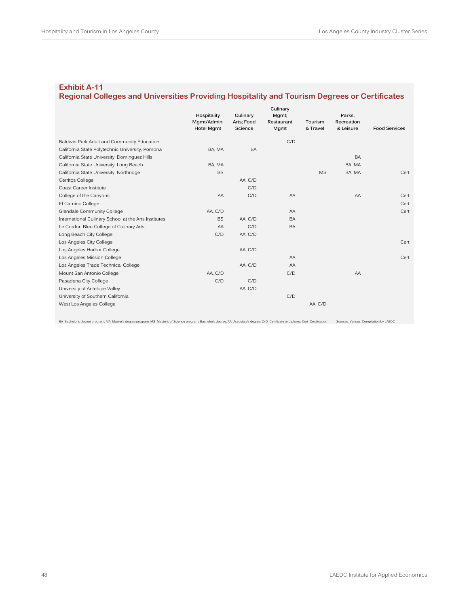## **Regional Colleges and Universities Providing Hospitality and Tourism Degrees or Certificates**

|                                                      | Hospitality<br>Mgmt/Admin;<br><b>Hotel Mgmt</b> | Culinary<br>Arts; Food<br>Science | Culinary<br>Mgmt;<br>Restaurant | Tourism<br>& Travel | Parks,<br>Recreation<br>& Leisure | <b>Food Services</b> |
|------------------------------------------------------|-------------------------------------------------|-----------------------------------|---------------------------------|---------------------|-----------------------------------|----------------------|
|                                                      |                                                 |                                   | Mgmt                            |                     |                                   |                      |
| Baldwin Park Adult and Community Education           |                                                 |                                   | C/D                             |                     |                                   |                      |
| California State Polytechnic University, Pomona      | BA, MA                                          | BA                                |                                 |                     |                                   |                      |
| California State University, Dominguez Hills         |                                                 |                                   |                                 |                     | <b>BA</b>                         |                      |
| California State University, Long Beach              | BA, MA                                          |                                   |                                 |                     | BA, MA                            |                      |
| California State University, Northridge              | <b>BS</b>                                       |                                   |                                 | <b>MS</b>           | BA, MA                            | Cert                 |
| Cerritos College                                     |                                                 | AA, C/D                           |                                 |                     |                                   |                      |
| Coast Career Institute                               |                                                 | C/D                               |                                 |                     |                                   |                      |
| College of the Canyons                               | AA                                              | C/D                               | AA                              |                     | AA                                | Cert                 |
| El Camino College                                    |                                                 |                                   |                                 |                     |                                   | Cert                 |
| Glendale Community College                           | AA, C/D                                         |                                   | AA                              |                     |                                   | Cert                 |
| International Culinary School at the Arts Institutes | <b>BS</b>                                       | AA. C/D                           | <b>BA</b>                       |                     |                                   |                      |
| Le Cordon Bleu College of Culinary Arts              | AA                                              | C/D                               | <b>BA</b>                       |                     |                                   |                      |
| Long Beach City College                              | C/D                                             | AA, C/D                           |                                 |                     |                                   |                      |
| Los Angeles City College                             |                                                 |                                   |                                 |                     |                                   | Cert                 |
| Los Angeles Harbor College                           |                                                 | AA, C/D                           |                                 |                     |                                   |                      |
| Los Angeles Mission College                          |                                                 |                                   | AA                              |                     |                                   | Cert                 |
| Los Angeles Trade Technical College                  |                                                 | AA, C/D                           | AA                              |                     |                                   |                      |
| Mount San Antonio College                            | AA, C/D                                         |                                   | C/D                             |                     | AA                                |                      |
| Pasadena City College                                | C/D                                             | C/D                               |                                 |                     |                                   |                      |
| University of Antelope Valley                        |                                                 | AA, C/D                           |                                 |                     |                                   |                      |
| University of Southern California                    |                                                 |                                   | C/D                             |                     |                                   |                      |
| West Los Angeles College                             |                                                 |                                   |                                 | AA, C/D             |                                   |                      |
|                                                      |                                                 |                                   |                                 |                     |                                   |                      |

BA=Bachelor's degree program; MA=Master's degree program; MS=Master's of Science program; Bachelor's degree; AA=Associate's degree; C/D=Certificate or diploma; Cert=Certification Sources: Various; Compilation by LAEDC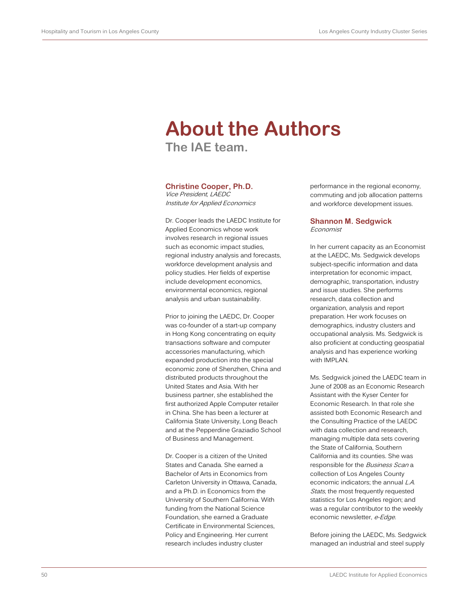# **About the Authors**

**The IAE team.**

## **Christine Cooper, Ph.D.**

Vice President, LAEDC Institute for Applied Economics

Dr. Cooper leads the LAEDC Institute for Applied Economics whose work involves research in regional issues such as economic impact studies, regional industry analysis and forecasts, workforce development analysis and policy studies. Her fields of expertise include development economics, environmental economics, regional analysis and urban sustainability.

Prior to joining the LAEDC, Dr. Cooper was co-founder of a start-up company in Hong Kong concentrating on equity transactions software and computer accessories manufacturing, which expanded production into the special economic zone of Shenzhen, China and distributed products throughout the United States and Asia. With her business partner, she established the first authorized Apple Computer retailer in China. She has been a lecturer at California State University, Long Beach and at the Pepperdine Graziadio School of Business and Management.

Dr. Cooper is a citizen of the United States and Canada. She earned a Bachelor of Arts in Economics from Carleton University in Ottawa, Canada, and a Ph.D. in Economics from the University of Southern California. With funding from the National Science Foundation, she earned a Graduate Certificate in Environmental Sciences, Policy and Engineering. Her current research includes industry cluster

performance in the regional economy, commuting and job allocation patterns and workforce development issues.

#### **Shannon M. Sedgwick** Economist

In her current capacity as an Economist at the LAEDC, Ms. Sedgwick develops subject-specific information and data interpretation for economic impact, demographic, transportation, industry and issue studies. She performs research, data collection and organization, analysis and report preparation. Her work focuses on demographics, industry clusters and occupational analysis. Ms. Sedgwick is also proficient at conducting geospatial analysis and has experience working with IMPLAN.

Ms. Sedgwick joined the LAEDC team in June of 2008 as an Economic Research Assistant with the Kyser Center for Economic Research. In that role she assisted both Economic Research and the Consulting Practice of the LAEDC with data collection and research, managing multiple data sets covering the State of California, Southern California and its counties. She was responsible for the Business Scan a collection of Los Angeles County economic indicators; the annual L.A. Stats, the most frequently requested statistics for Los Angeles region; and was a regular contributor to the weekly economic newsletter, e-Edge.

Before joining the LAEDC, Ms. Sedgwick managed an industrial and steel supply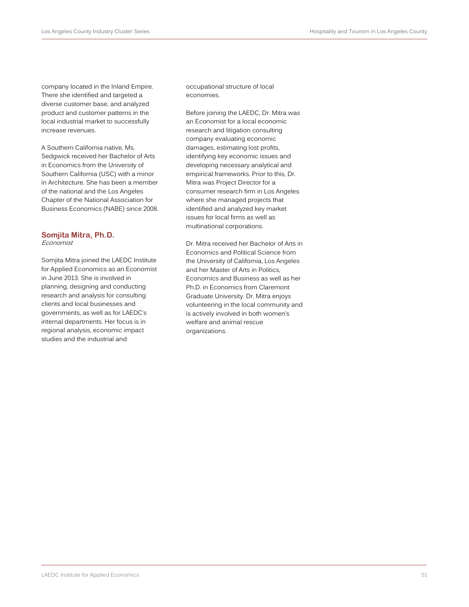company located in the Inland Empire. There she identified and targeted a diverse customer base, and analyzed product and customer patterns in the local industrial market to successfully increase revenues.

A Southern California native, Ms. Sedgwick received her Bachelor of Arts in Economics from the University of Southern California (USC) with a minor in Architecture. She has been a member of the national and the Los Angeles Chapter of the National Association for Business Economics (NABE) since 2008.

#### **Somjita Mitra, Ph.D.** Economist

Somjita Mitra joined the LAEDC Institute for Applied Economics as an Economist in June 2013. She is involved in planning, designing and conducting research and analysis for consulting clients and local businesses and governments, as well as for LAEDC's internal departments. Her focus is in regional analysis, economic impact studies and the industrial and

occupational structure of local economies.

Before joining the LAEDC, Dr. Mitra was an Economist for a local economic research and litigation consulting company evaluating economic damages, estimating lost profits, identifying key economic issues and developing necessary analytical and empirical frameworks. Prior to this, Dr. Mitra was Project Director for a consumer research firm in Los Angeles where she managed projects that identified and analyzed key market issues for local firms as well as multinational corporations.

Dr. Mitra received her Bachelor of Arts in Economics and Political Science from the University of California, Los Angeles and her Master of Arts in Politics, Economics and Business as well as her Ph.D. in Economics from Claremont Graduate University. Dr. Mitra enjoys volunteering in the local community and is actively involved in both women's welfare and animal rescue organizations.